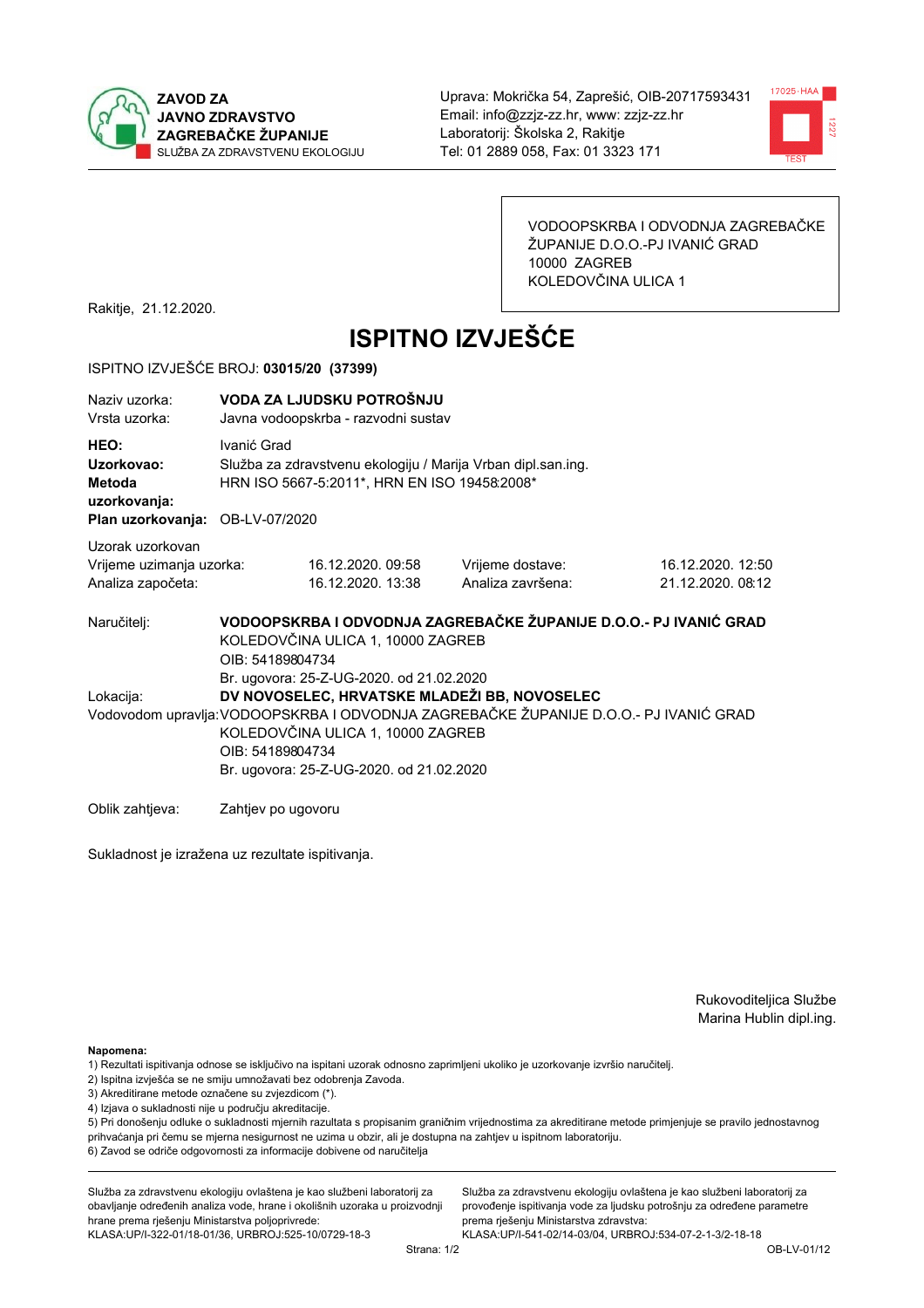



VODOOPSKRBA I ODVODNJA ZAGREBAČKE ŽUPANIJE D.O.O.-PJ IVANIĆ GRAD 10000 ZAGREB KOLEDOVČINA ULICA 1

Rakitje, 21.12.2020.

# **ISPITNO IZVJEŠĆE**

#### ISPITNO IZVJEŠĆE BROJ: 03015/20 (37399)

| Ivanić Grad                                                                                                                                                                                                                                                                            |  |                                                                                                                                                                   |                                                                                                                                                                                                                        |  |  |
|----------------------------------------------------------------------------------------------------------------------------------------------------------------------------------------------------------------------------------------------------------------------------------------|--|-------------------------------------------------------------------------------------------------------------------------------------------------------------------|------------------------------------------------------------------------------------------------------------------------------------------------------------------------------------------------------------------------|--|--|
| Vrijeme uzimanja uzorka:                                                                                                                                                                                                                                                               |  | Vrijeme dostave:<br>Analiza završena:                                                                                                                             | 16.12.2020. 12:50<br>21.12.2020.08:12                                                                                                                                                                                  |  |  |
|                                                                                                                                                                                                                                                                                        |  |                                                                                                                                                                   |                                                                                                                                                                                                                        |  |  |
| Br. ugovora: 25-Z-UG-2020. od 21.02.2020<br>DV NOVOSELEC, HRVATSKE MLADEŽI BB, NOVOSELEC<br>Vodovodom upravlja: VODOOPSKRBA I ODVODNJA ZAGREBAČKE ŽUPANIJE D.O.O.- PJ IVANIĆ GRAD<br>KOLEDOVČINA ULICA 1, 10000 ZAGREB<br>OIB: 54189804734<br>Br. ugovora: 25-Z-UG-2020. od 21.02.2020 |  |                                                                                                                                                                   |                                                                                                                                                                                                                        |  |  |
|                                                                                                                                                                                                                                                                                        |  | VODA ZA LJUDSKU POTROŠNJU<br>Javna vodoopskrba - razvodni sustav<br>Plan uzorkovanja: OB-LV-07/2020<br>16.12.2020. 09:58<br>16.12.2020. 13:38<br>OIB: 54189804734 | Služba za zdravstvenu ekologiju / Marija Vrban dipl.san.ing.<br>HRN ISO 5667-5:2011*, HRN EN ISO 19458:2008*<br>VODOOPSKRBA I ODVODNJA ZAGREBAČKE ŽUPANIJE D.O.O.- PJ IVANIĆ GRAD<br>KOLEDOVČINA ULICA 1, 10000 ZAGREB |  |  |

Oblik zahtjeva: Zahtjev po ugovoru

Sukladnost je izražena uz rezultate ispitivanja.

Rukovoditeljica Službe Marina Hublin dipl.ing.

Napomena:

- 1) Rezultati ispitivanja odnose se isključivo na ispitani uzorak odnosno zaprimljeni ukoliko je uzorkovanje izvršio naručiteli.
- 2) Ispitna izvješća se ne smiju umnožavati bez odobrenja Zavoda.
- 3) Akreditirane metode označene su zvjezdicom (\*).
- 4) Izjava o sukladnosti nije u području akreditacije.

5) Pri donošenju odluke o sukladnosti mjernih razultata s propisanim graničnim vrijednostima za akreditirane metode primjenjuje se pravilo jednostavnog prihvaćanja pri čemu se mjerna nesigurnost ne uzima u obzir, ali je dostupna na zahtjev u ispitnom laboratoriju.

6) Zavod se odriče odgovornosti za informacije dobivene od naručitelja

Služba za zdravstvenu ekologiju ovlaštena je kao službeni laboratorij za obavljanje određenih analiza vode, hrane i okolišnih uzoraka u proizvodnji hrane prema rješenju Ministarstva poljoprivrede:

KLASA: UP/I-322-01/18-01/36, URBROJ: 525-10/0729-18-3

Služba za zdravstvenu ekologiju ovlaštena je kao službeni laboratorij za provođenje ispitivanja vode za ljudsku potrošnju za određene parametre prema riešenju Ministarstva zdravstva: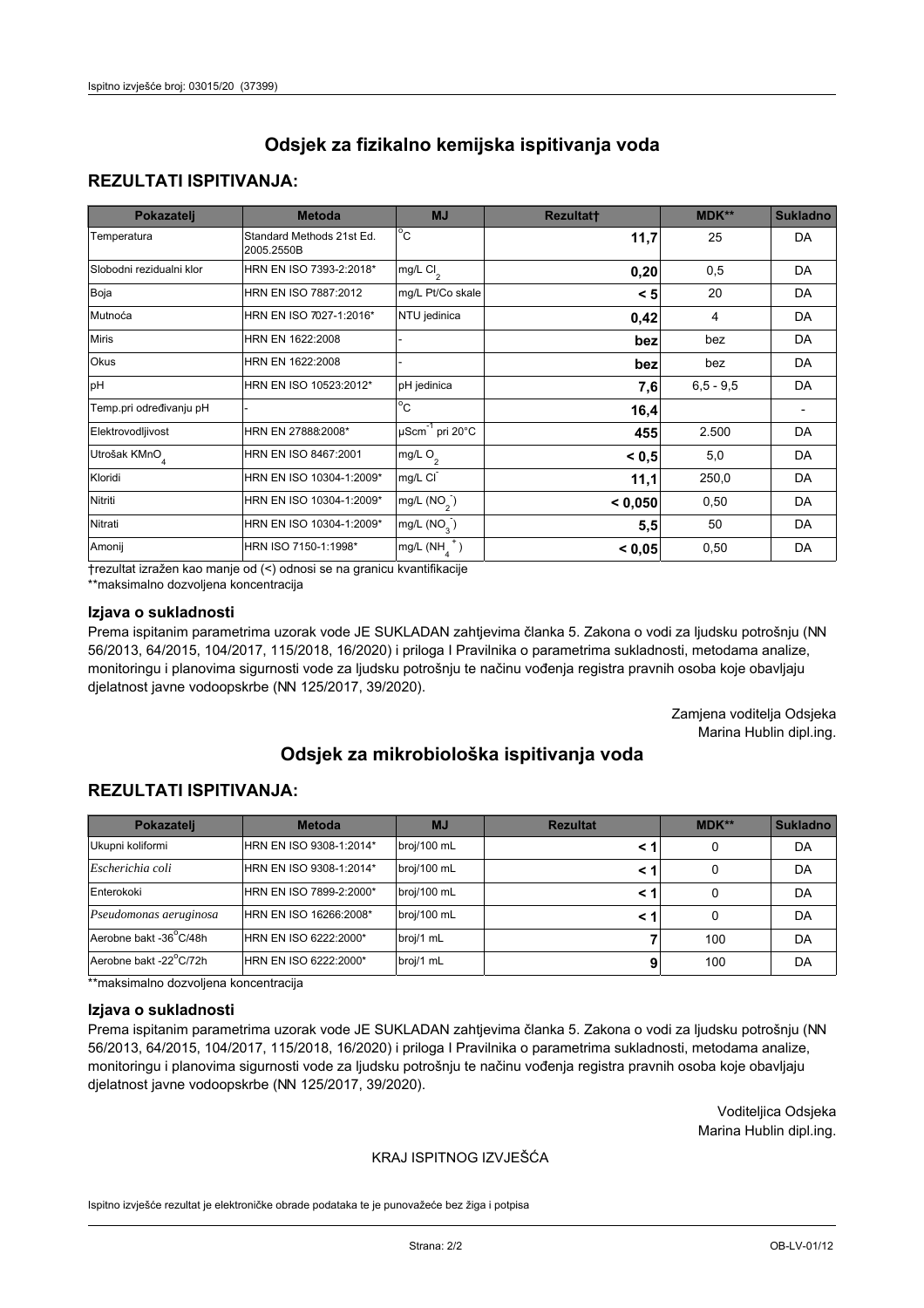## **REZULTATI ISPITIVANJA:**

| Pokazatelj                | <b>Metoda</b>                           | <b>MJ</b>                   | <b>Rezultatt</b> | <b>MDK**</b> | <b>Sukladno</b> |
|---------------------------|-----------------------------------------|-----------------------------|------------------|--------------|-----------------|
| Temperatura               | Standard Methods 21st Ed.<br>2005.2550B | $^{\circ}$ C                | 11,7             | 25           | <b>DA</b>       |
| Slobodni rezidualni klor  | HRN EN ISO 7393-2:2018*                 | mg/L $Cl_2$                 | 0,20             | 0,5          | DA              |
| Boja                      | HRN EN ISO 7887:2012                    | mg/L Pt/Co skale            | < 5              | 20           | <b>DA</b>       |
| Mutnoća                   | HRN EN ISO 7027-1:2016*                 | NTU jedinica                | 0,42             | 4            | DA              |
| <b>Miris</b>              | HRN EN 1622:2008                        |                             | bez              | bez          | DA              |
| Okus                      | HRN EN 1622:2008                        |                             | bez              | bez          | DA              |
| pH                        | HRN EN ISO 10523:2012*                  | pH jedinica                 | 7,6              | $6.5 - 9.5$  | <b>DA</b>       |
| Temp.pri određivanju pH   |                                         | $\overline{c}$              | 16,4             |              |                 |
| Elektrovodljivost         | HRN EN 27888:2008*                      | µScm <sup>-1</sup> pri 20°C | 455              | 2.500        | DA              |
| Utrošak KMnO <sub>4</sub> | HRN EN ISO 8467:2001                    | mg/L O <sub>2</sub>         | < 0.5            | 5,0          | DA              |
| Kloridi                   | HRN EN ISO 10304-1:2009*                | mg/L CI                     | 11,1             | 250,0        | DA              |
| Nitriti                   | HRN EN ISO 10304-1:2009*                | mg/L $(NO2)$                | < 0,050          | 0,50         | DA              |
| Nitrati                   | HRN EN ISO 10304-1:2009*                | mg/L (NO <sub>3</sub> )     | 5,5              | 50           | DA              |
| Amonij                    | HRN ISO 7150-1:1998*                    | mg/L $(NH_A^+)$             | < 0,05           | 0,50         | DA              |

trezultat izražen kao manje od (<) odnosi se na granicu kvantifikacije

\*\*maksimalno dozvoljena koncentracija

#### Izjava o sukladnosti

Prema ispitanim parametrima uzorak vode JE SUKLADAN zahtjevima članka 5. Zakona o vodi za ljudsku potrošnju (NN 56/2013, 64/2015, 104/2017, 115/2018, 16/2020) i priloga I Pravilnika o parametrima sukladnosti, metodama analize, monitoringu i planovima sigurnosti vode za ljudsku potrošnju te načinu vođenja registra pravnih osoba koje obavljaju djelatnost javne vodoopskrbe (NN 125/2017, 39/2020).

> Zamjena voditelja Odsjeka Marina Hublin dipl.ing.

# Odsiek za mikrobiološka ispitivanja voda

## **REZULTATI ISPITIVANJA:**

| Pokazatelj             | <b>Metoda</b>           | <b>MJ</b>   | <b>Rezultat</b> | MDK** | <b>Sukladno</b> |
|------------------------|-------------------------|-------------|-----------------|-------|-----------------|
| Ukupni koliformi       | HRN EN ISO 9308-1:2014* | broj/100 mL |                 | 0     | DA              |
| Escherichia coli       | HRN EN ISO 9308-1:2014* | broj/100 mL | < 1             | 0     | DA              |
| Enterokoki             | HRN EN ISO 7899-2:2000* | broj/100 mL | < 1             | 0     | DA              |
| Pseudomonas aeruginosa | HRN EN ISO 16266:2008*  | broj/100 mL | < 1             | 0     | DA              |
| Aerobne bakt -36°C/48h | HRN EN ISO 6222:2000*   | broj/1 mL   |                 | 100   | DA              |
| Aerobne bakt -22°C/72h | HRN EN ISO 6222:2000*   | broj/1 mL   |                 | 100   | DA              |

\*\*maksimalno dozvoljena koncentracija

#### Izjava o sukladnosti

Prema ispitanim parametrima uzorak vode JE SUKLADAN zahtjevima članka 5. Zakona o vodi za ljudsku potrošnju (NN 56/2013, 64/2015, 104/2017, 115/2018, 16/2020) i priloga I Pravilnika o parametrima sukladnosti, metodama analize, monitoringu i planovima sigurnosti vode za ljudsku potrošnju te načinu vođenja registra pravnih osoba koje obavljaju djelatnost javne vodoopskrbe (NN 125/2017, 39/2020).

> Voditeljica Odsjeka Marina Hublin dipl.ing.

### KRAJ ISPITNOG IZVJEŠĆA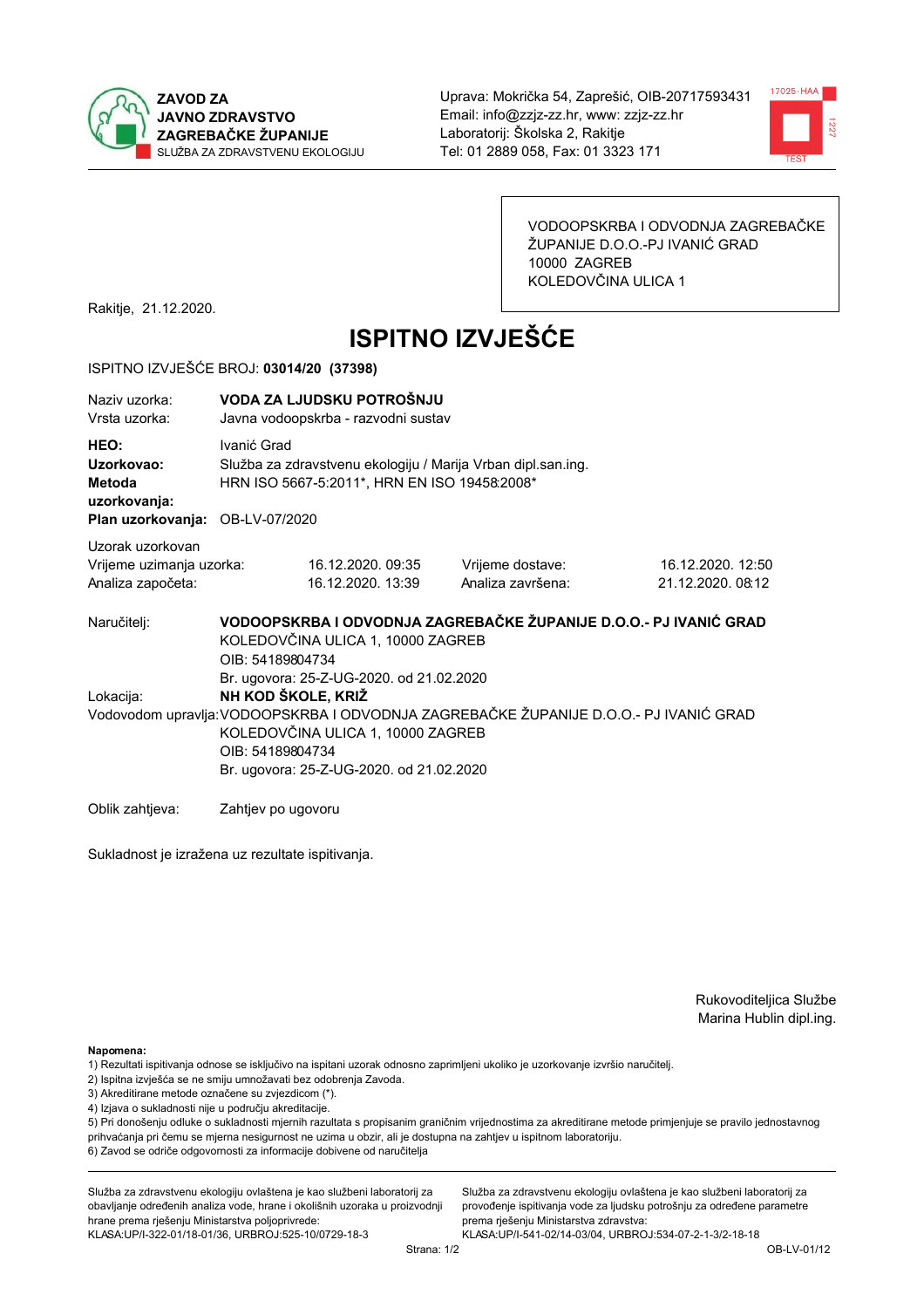



VODOOPSKRBA I ODVODNJA ZAGREBAČKE ŽUPANIJE D.O.O.-PJ IVANIĆ GRAD 10000 ZAGREB KOLEDOVČINA ULICA 1

Rakitje, 21.12.2020.

# **ISPITNO IZVJEŠĆE**

#### ISPITNO IZVJEŠĆE BROJ: 03014/20 (37398)

| Naziy uzorka:<br>Vrsta uzorka:                                                  | VODA ZA LJUDSKU POTROŠNJU<br>Javna vodoopskrba - razvodni sustav                                                                                                                                                                                             |                                                                                                              |                                                                   |                                       |  |  |
|---------------------------------------------------------------------------------|--------------------------------------------------------------------------------------------------------------------------------------------------------------------------------------------------------------------------------------------------------------|--------------------------------------------------------------------------------------------------------------|-------------------------------------------------------------------|---------------------------------------|--|--|
| HEO:<br>Uzorkovao:<br>Metoda<br>uzorkovanja:<br>Plan uzorkovanja: OB-LV-07/2020 | Ivanić Grad                                                                                                                                                                                                                                                  | Služba za zdravstvenu ekologiju / Marija Vrban dipl.san.ing.<br>HRN ISO 5667-5:2011*, HRN EN ISO 19458:2008* |                                                                   |                                       |  |  |
| Uzorak uzorkovan<br>Vrijeme uzimanja uzorka:<br>Analiza započeta:               |                                                                                                                                                                                                                                                              | 16.12.2020.09:35<br>16.12.2020. 13:39                                                                        | Vrijeme dostave:<br>Analiza završena:                             | 16.12.2020. 12:50<br>21.12.2020.08:12 |  |  |
| Naručitelj:                                                                     | OIB: 54189804734                                                                                                                                                                                                                                             | KOLEDOVČINA ULICA 1, 10000 ZAGREB                                                                            | VODOOPSKRBA I ODVODNJA ZAGREBAČKE ŽUPANIJE D.O.O.- PJ IVANIĆ GRAD |                                       |  |  |
| Lokacija:                                                                       | Br. ugovora: 25-Z-UG-2020. od 21.02.2020<br>NH KOD ŠKOLE, KRIŽ<br>Vodovodom upravlja: VODOOPSKRBA I ODVODNJA ZAGREBAČKE ŽUPANIJE D.O.O.- PJ IVANIĆ GRAD<br>KOLEDOVČINA ULICA 1, 10000 ZAGREB<br>OIB: 54189804734<br>Br. ugovora: 25-Z-UG-2020. od 21.02.2020 |                                                                                                              |                                                                   |                                       |  |  |
| Oblik zahtjeva:                                                                 | Zahtjev po ugovoru                                                                                                                                                                                                                                           |                                                                                                              |                                                                   |                                       |  |  |

Sukladnost je izražena uz rezultate ispitivanja.

Rukovoditeljica Službe Marina Hublin dipl.ing.

Napomena:

- 2) Ispitna izvješća se ne smiju umnožavati bez odobrenja Zavoda.
- 3) Akreditirane metode označene su zvjezdicom (\*).
- 4) Izjava o sukladnosti nije u području akreditacije.

5) Pri donošenju odluke o sukladnosti mjernih razultata s propisanim graničnim vrijednostima za akreditirane metode primjenjuje se pravilo jednostavnog prihvaćanja pri čemu se mjerna nesigurnost ne uzima u obzir, ali je dostupna na zahtjev u ispitnom laboratoriju.

6) Zavod se odriče odgovornosti za informacije dobivene od naručitelja

Služba za zdravstvenu ekologiju ovlaštena je kao službeni laboratorij za obavljanje određenih analiza vode, hrane i okolišnih uzoraka u proizvodnji hrane prema rješenju Ministarstva poljoprivrede:

KLASA.UP/I-322-01/18-01/36, URBROJ:525-10/0729-18-3

Služba za zdravstvenu ekologiju ovlaštena je kao službeni laboratorij za provođenje ispitivanja vode za ljudsku potrošnju za određene parametre prema riešenju Ministarstva zdravstva:

<sup>1)</sup> Rezultati ispitivanja odnose se isključivo na ispitani uzorak odnosno zaprimljeni ukoliko je uzorkovanje izvršio naručiteli.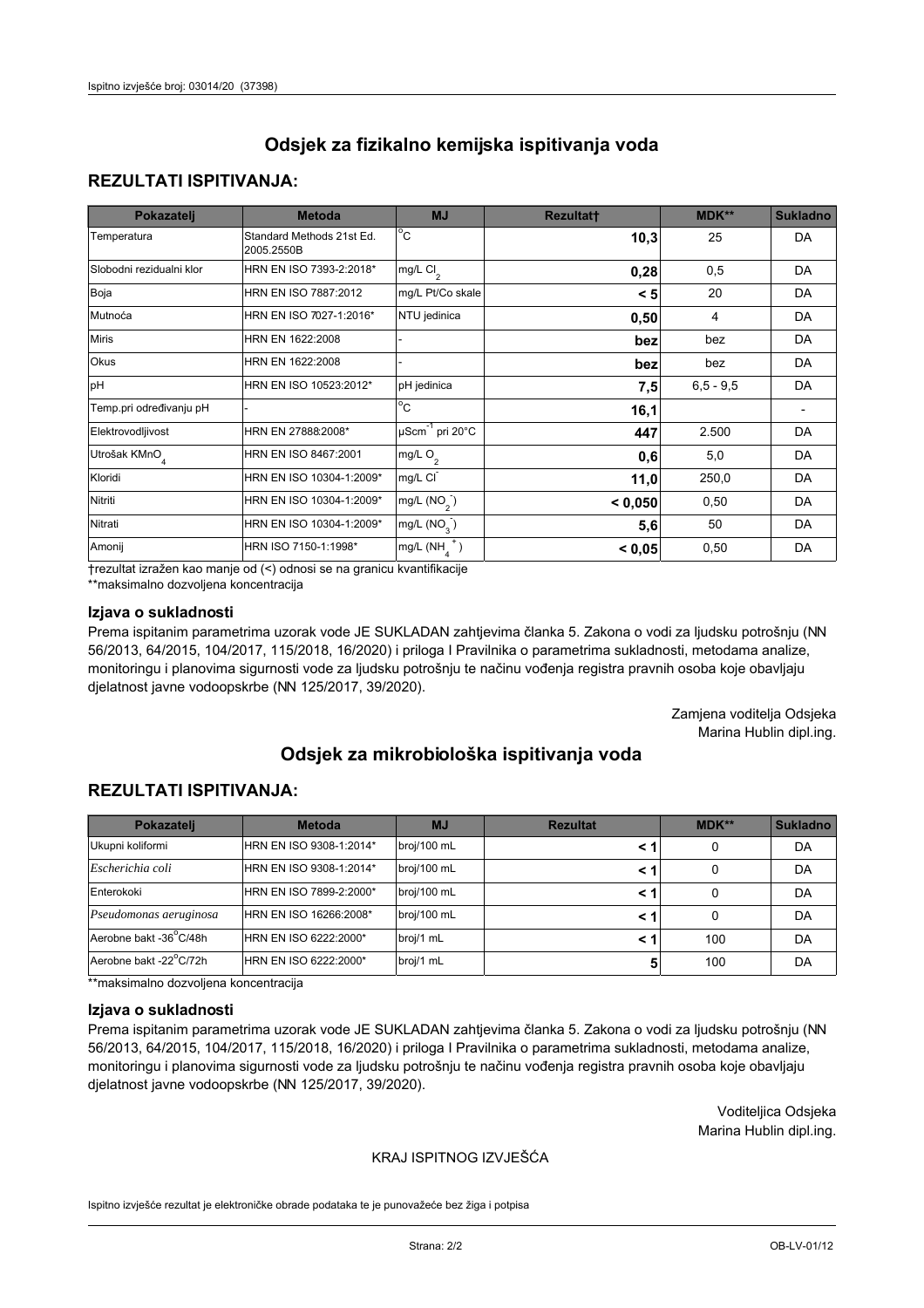## **REZULTATI ISPITIVANJA:**

| Pokazatelj                | <b>Metoda</b>                           | <b>MJ</b>                        | <b>Rezultatt</b> | <b>MDK**</b> | <b>Sukladno</b> |
|---------------------------|-----------------------------------------|----------------------------------|------------------|--------------|-----------------|
| Temperatura               | Standard Methods 21st Ed.<br>2005.2550B | $^{\circ}$ C                     | 10,3             | 25           | <b>DA</b>       |
| Slobodni rezidualni klor  | HRN EN ISO 7393-2:2018*                 | mg/L $Cl2$                       | 0,28             | 0,5          | <b>DA</b>       |
| Boja                      | HRN EN ISO 7887:2012                    | mg/L Pt/Co skale                 | < 5              | 20           | <b>DA</b>       |
| Mutnoća                   | HRN EN ISO 7027-1:2016*                 | NTU jedinica                     | 0,50             | 4            | DA              |
| <b>Miris</b>              | HRN EN 1622:2008                        |                                  | bez              | bez          | DA              |
| Okus                      | HRN EN 1622:2008                        |                                  | bez              | bez          | DA              |
| pH                        | HRN EN ISO 10523:2012*                  | pH jedinica                      | 7,5              | $6,5 - 9,5$  | <b>DA</b>       |
| Temp.pri određivanju pH   |                                         | $\overline{c}$                   | 16,1             |              |                 |
| Elektrovodljivost         | HRN EN 27888:2008*                      | $\mu$ Scm <sup>-1</sup> pri 20°C | 447              | 2.500        | DA              |
| Utrošak KMnO <sub>4</sub> | HRN EN ISO 8467:2001                    | mg/L O <sub>2</sub>              | 0,6              | 5,0          | DA              |
| Kloridi                   | HRN EN ISO 10304-1:2009*                | mg/L CI                          | 11,0             | 250,0        | DA              |
| Nitriti                   | HRN EN ISO 10304-1:2009*                | mg/L $(NO2)$                     | < 0,050          | 0,50         | <b>DA</b>       |
| Nitrati                   | HRN EN ISO 10304-1:2009*                | mg/L (NO <sub>3</sub> )          | 5,6              | 50           | DA              |
| Amonij                    | HRN ISO 7150-1:1998*                    | $mg/L(NH_A^+)$                   | < 0,05           | 0,50         | DA              |

trezultat izražen kao manje od (<) odnosi se na granicu kvantifikacije

\*\*maksimalno dozvoljena koncentracija

#### Izjava o sukladnosti

Prema ispitanim parametrima uzorak vode JE SUKLADAN zahtjevima članka 5. Zakona o vodi za ljudsku potrošnju (NN 56/2013, 64/2015, 104/2017, 115/2018, 16/2020) i priloga I Pravilnika o parametrima sukladnosti, metodama analize, monitoringu i planovima sigurnosti vode za ljudsku potrošnju te načinu vođenja registra pravnih osoba koje obavljaju djelatnost javne vodoopskrbe (NN 125/2017, 39/2020).

> Zamjena voditelja Odsjeka Marina Hublin dipl.ing.

# Odsiek za mikrobiološka ispitivanja voda

## **REZULTATI ISPITIVANJA:**

| Pokazatelj             | <b>Metoda</b>           | <b>MJ</b>   | <b>Rezultat</b> | MDK** | <b>Sukladno</b> |
|------------------------|-------------------------|-------------|-----------------|-------|-----------------|
| Ukupni koliformi       | HRN EN ISO 9308-1:2014* | broj/100 mL |                 | 0     | DA              |
| Escherichia coli       | HRN EN ISO 9308-1:2014* | broj/100 mL | < 1             | 0     | DA              |
| Enterokoki             | HRN EN ISO 7899-2:2000* | broj/100 mL | < 1             | 0     | DA              |
| Pseudomonas aeruginosa | HRN EN ISO 16266:2008*  | broj/100 mL | < 1             | 0     | DA              |
| Aerobne bakt -36°C/48h | HRN EN ISO 6222:2000*   | broj/1 mL   | < 1             | 100   | DA              |
| Aerobne bakt -22°C/72h | HRN EN ISO 6222:2000*   | broj/1 mL   | 5               | 100   | DA              |

\*\*maksimalno dozvoljena koncentracija

#### Izjava o sukladnosti

Prema ispitanim parametrima uzorak vode JE SUKLADAN zahtjevima članka 5. Zakona o vodi za ljudsku potrošnju (NN 56/2013, 64/2015, 104/2017, 115/2018, 16/2020) i priloga I Pravilnika o parametrima sukladnosti, metodama analize, monitoringu i planovima sigurnosti vode za ljudsku potrošnju te načinu vođenja registra pravnih osoba koje obavljaju djelatnost javne vodoopskrbe (NN 125/2017, 39/2020).

> Voditeljica Odsjeka Marina Hublin dipl.ing.

#### KRAJ ISPITNOG IZVJEŠĆA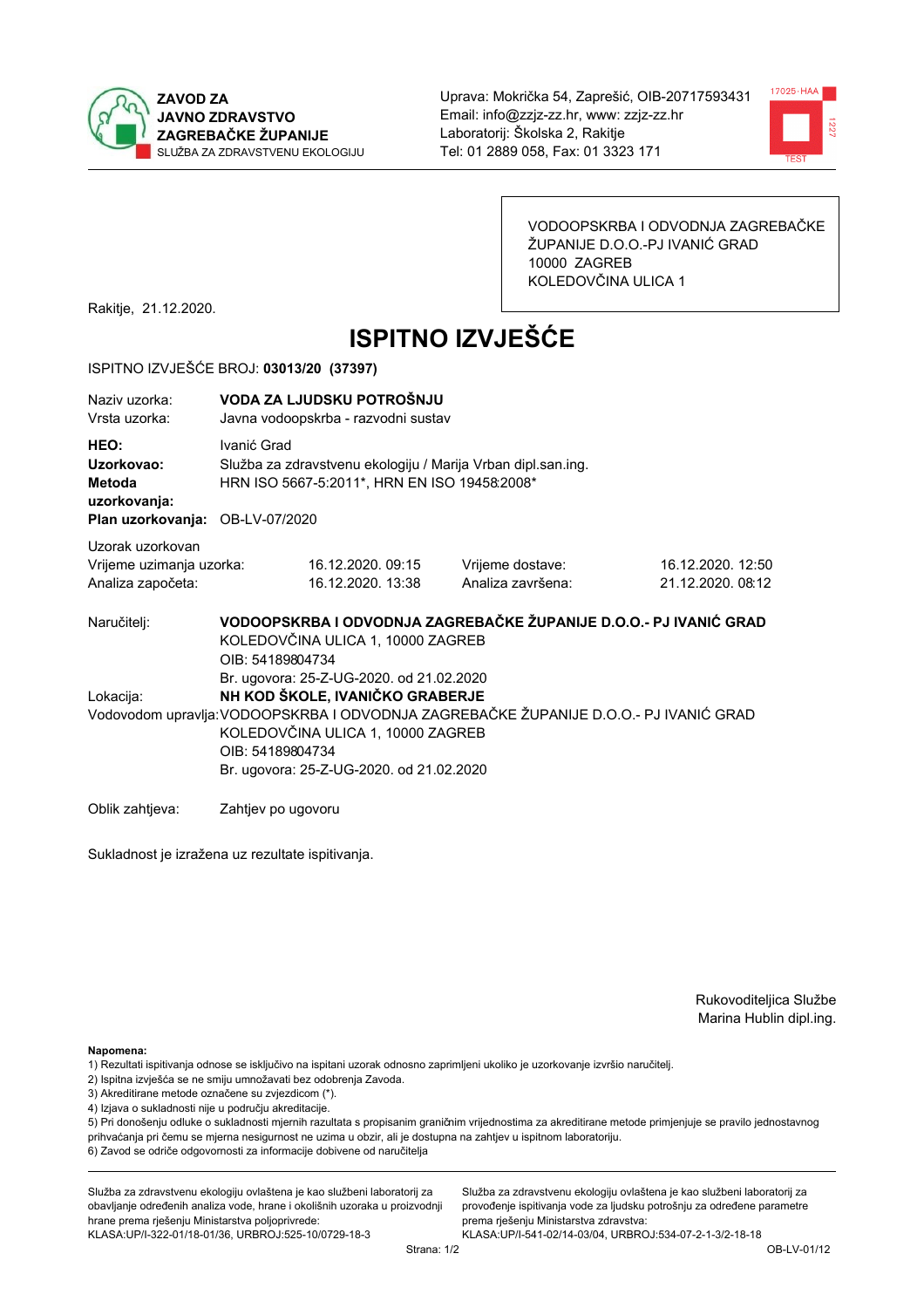



VODOOPSKRBA I ODVODNJA ZAGREBAČKE ŽUPANIJE D.O.O.-PJ IVANIĆ GRAD 10000 ZAGREB KOLEDOVČINA ULICA 1

Rakitje, 21.12.2020.

# **ISPITNO IZVJEŠĆE**

#### ISPITNO IZVJEŠĆE BROJ: 03013/20 (37397)

| Naziv uzorka:<br>Vrsta uzorka:                                                  | VODA ZA LJUDSKU POTROŠNJU<br>Javna vodoopskrba - razvodni sustav |                                                                                                                                                                                                                                                                           |                                                                   |                                       |  |  |
|---------------------------------------------------------------------------------|------------------------------------------------------------------|---------------------------------------------------------------------------------------------------------------------------------------------------------------------------------------------------------------------------------------------------------------------------|-------------------------------------------------------------------|---------------------------------------|--|--|
| HEO:<br>Uzorkovao:<br>Metoda<br>uzorkovanja:<br>Plan uzorkovanja: OB-LV-07/2020 | Ivanić Grad                                                      | Služba za zdravstvenu ekologiju / Marija Vrban dipl.san.ing.<br>HRN ISO 5667-5:2011*, HRN EN ISO 19458:2008*                                                                                                                                                              |                                                                   |                                       |  |  |
| Uzorak uzorkovan<br>Vrijeme uzimanja uzorka:<br>Analiza započeta:               |                                                                  | 16.12.2020.09:15<br>16.12.2020. 13:38                                                                                                                                                                                                                                     | Vrijeme dostave:<br>Analiza završena:                             | 16.12.2020. 12:50<br>21.12.2020.08:12 |  |  |
| Naručiteli:                                                                     | OIB: 54189804734                                                 | KOLEDOVČINA ULICA 1, 10000 ZAGREB                                                                                                                                                                                                                                         | VODOOPSKRBA I ODVODNJA ZAGREBAČKE ŽUPANIJE D.O.O.- PJ IVANIĆ GRAD |                                       |  |  |
| Lokacija:                                                                       |                                                                  | Br. ugovora: 25-Z-UG-2020. od 21.02.2020<br>NH KOD ŠKOLE, IVANIČKO GRABERJE<br>Vodovodom upravlja: VODOOPSKRBA I ODVODNJA ZAGREBAČKE ŽUPANIJE D.O.O.- PJ IVANIĆ GRAD<br>KOLEDOVČINA ULICA 1, 10000 ZAGREB<br>OIB: 54189804734<br>Br. ugovora: 25-Z-UG-2020. od 21.02.2020 |                                                                   |                                       |  |  |
| Oblik zahtieva:                                                                 | Zahtjev po ugovoru                                               |                                                                                                                                                                                                                                                                           |                                                                   |                                       |  |  |

Sukladnost je izražena uz rezultate ispitivanja.

Rukovoditeljica Službe Marina Hublin dipl.ing.

Napomena:

- 1) Rezultati ispitivanja odnose se isključivo na ispitani uzorak odnosno zaprimljeni ukoliko je uzorkovanje izvršio naručiteli.
- 2) Ispitna izvješća se ne smiju umnožavati bez odobrenja Zavoda.
- 3) Akreditirane metode označene su zvjezdicom (\*).
- 4) Izjava o sukladnosti nije u području akreditacije.

5) Pri donošenju odluke o sukladnosti mjernih razultata s propisanim graničnim vrijednostima za akreditirane metode primjenjuje se pravilo jednostavnog prihvaćanja pri čemu se mjerna nesigurnost ne uzima u obzir, ali je dostupna na zahtjev u ispitnom laboratoriju.

6) Zavod se odriče odgovornosti za informacije dobivene od naručitelja

Služba za zdravstvenu ekologiju ovlaštena je kao službeni laboratorij za obavljanje određenih analiza vode, hrane i okolišnih uzoraka u proizvodnji hrane prema rješenju Ministarstva poljoprivrede:

KLASA.UP/I-322-01/18-01/36, URBROJ.525-10/0729-18-3

Služba za zdravstvenu ekologiju ovlaštena je kao službeni laboratorij za provođenje ispitivanja vode za ljudsku potrošnju za određene parametre prema riešenju Ministarstva zdravstva: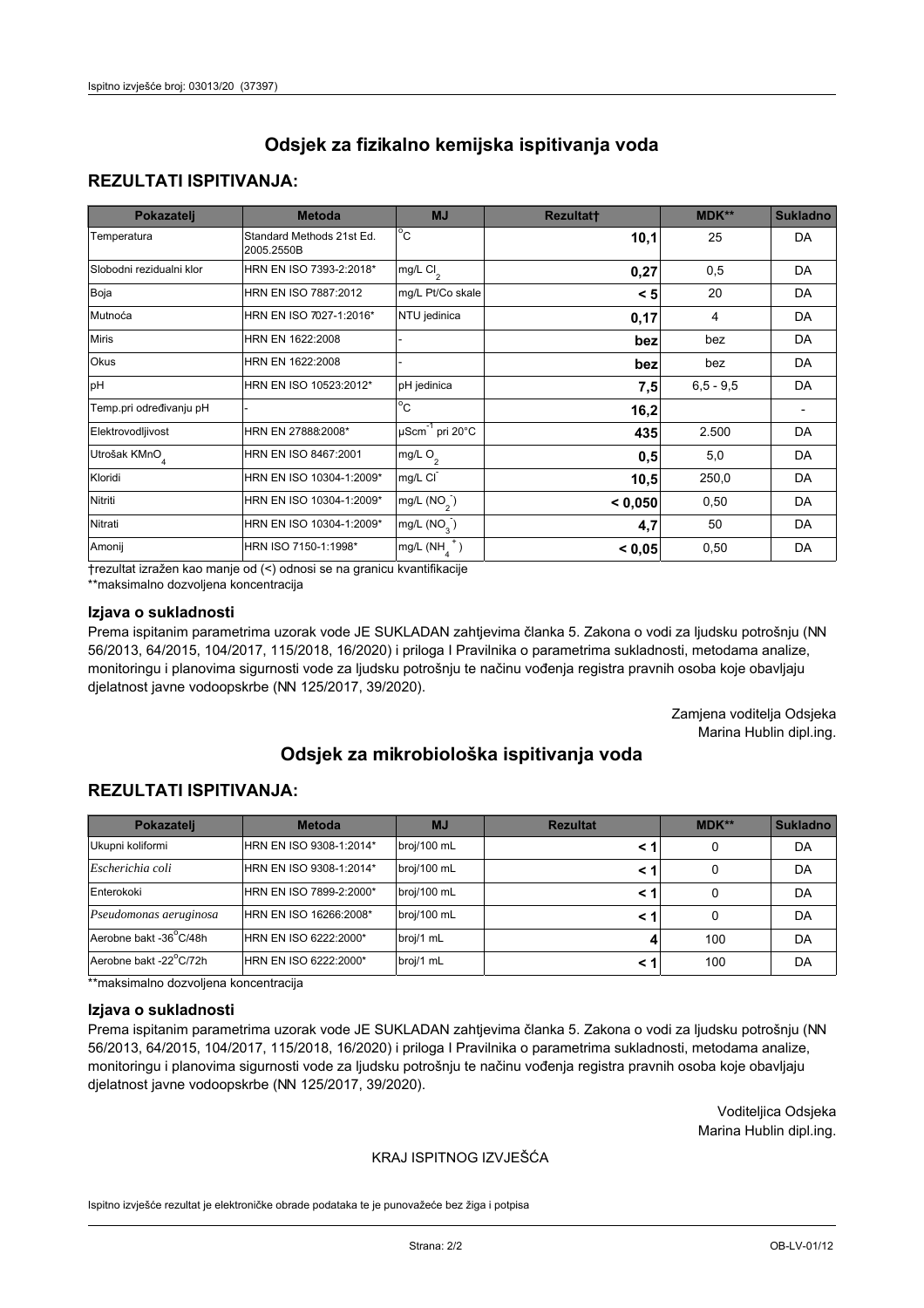## **REZULTATI ISPITIVANJA:**

| Pokazatelj                | <b>Metoda</b>                           | <b>MJ</b>                        | <b>Rezultatt</b> | <b>MDK**</b> | <b>Sukladno</b> |
|---------------------------|-----------------------------------------|----------------------------------|------------------|--------------|-----------------|
| Temperatura               | Standard Methods 21st Ed.<br>2005.2550B | $^{\circ}$ C                     | 10,1             | 25           | DA              |
| Slobodni rezidualni klor  | HRN EN ISO 7393-2:2018*                 | mg/L $Cl2$                       | 0,27             | 0,5          | DA              |
| Boja                      | HRN EN ISO 7887:2012                    | mg/L Pt/Co skale                 | < 5              | 20           | DA              |
| Mutnoća                   | HRN EN ISO 7027-1:2016*                 | NTU jedinica                     | 0,17             | 4            | DA              |
| <b>Miris</b>              | HRN EN 1622:2008                        |                                  | bez              | bez          | DA              |
| Okus                      | HRN EN 1622:2008                        |                                  | bez              | bez          | DA              |
| pH                        | HRN EN ISO 10523:2012*                  | pH jedinica                      | 7,5              | $6,5 - 9,5$  | DA              |
| Temp.pri određivanju pH   |                                         | $\overline{c}$                   | 16,2             |              |                 |
| Elektrovodljivost         | HRN EN 27888:2008*                      | $\mu$ Scm <sup>-1</sup> pri 20°C | 435              | 2.500        | DA              |
| Utrošak KMnO <sub>4</sub> | HRN EN ISO 8467:2001                    | mg/L O <sub>2</sub>              | 0,5              | 5,0          | DA              |
| Kloridi                   | HRN EN ISO 10304-1:2009*                | mg/L CI                          | 10,5             | 250,0        | DA              |
| Nitriti                   | HRN EN ISO 10304-1:2009*                | mg/L $(NO2)$                     | < 0,050          | 0,50         | DA              |
| Nitrati                   | HRN EN ISO 10304-1:2009*                | mg/L (NO <sub>3</sub> )          | 4,7              | 50           | DA              |
| Amonij                    | HRN ISO 7150-1:1998*                    | $mg/L(NH_A^+)$                   | < 0,05           | 0,50         | DA              |

trezultat izražen kao manje od (<) odnosi se na granicu kvantifikacije

\*\*maksimalno dozvoljena koncentracija

#### Izjava o sukladnosti

Prema ispitanim parametrima uzorak vode JE SUKLADAN zahtjevima članka 5. Zakona o vodi za ljudsku potrošnju (NN 56/2013, 64/2015, 104/2017, 115/2018, 16/2020) i priloga I Pravilnika o parametrima sukladnosti, metodama analize, monitoringu i planovima sigurnosti vode za ljudsku potrošnju te načinu vođenja registra pravnih osoba koje obavljaju djelatnost javne vodoopskrbe (NN 125/2017, 39/2020).

> Zamjena voditelja Odsjeka Marina Hublin dipl.ing.

# Odsiek za mikrobiološka ispitivanja voda

## **REZULTATI ISPITIVANJA:**

| Pokazatelj             | <b>Metoda</b>           | <b>MJ</b>   | <b>Rezultat</b> | MDK** | <b>Sukladno</b> |
|------------------------|-------------------------|-------------|-----------------|-------|-----------------|
| Ukupni koliformi       | HRN EN ISO 9308-1:2014* | broj/100 mL | < 1             | 0     | DA              |
| Escherichia coli       | HRN EN ISO 9308-1:2014* | broj/100 mL | < 1             | 0     | DA              |
| Enterokoki             | HRN EN ISO 7899-2:2000* | broj/100 mL | < 1             | 0     | DA              |
| Pseudomonas aeruginosa | HRN EN ISO 16266:2008*  | broj/100 mL | < 1             | 0     | DA              |
| Aerobne bakt -36°C/48h | HRN EN ISO 6222:2000*   | broj/1 mL   |                 | 100   | DA              |
| Aerobne bakt -22°C/72h | HRN EN ISO 6222:2000*   | broj/1 mL   | < 1             | 100   | DA              |

\*\*maksimalno dozvoljena koncentracija

#### Izjava o sukladnosti

Prema ispitanim parametrima uzorak vode JE SUKLADAN zahtjevima članka 5. Zakona o vodi za ljudsku potrošnju (NN 56/2013, 64/2015, 104/2017, 115/2018, 16/2020) i priloga I Pravilnika o parametrima sukladnosti, metodama analize, monitoringu i planovima sigurnosti vode za ljudsku potrošnju te načinu vođenja registra pravnih osoba koje obavljaju djelatnost javne vodoopskrbe (NN 125/2017, 39/2020).

> Voditeljica Odsjeka Marina Hublin dipl.ing.

#### KRAJ ISPITNOG IZVJEŠĆA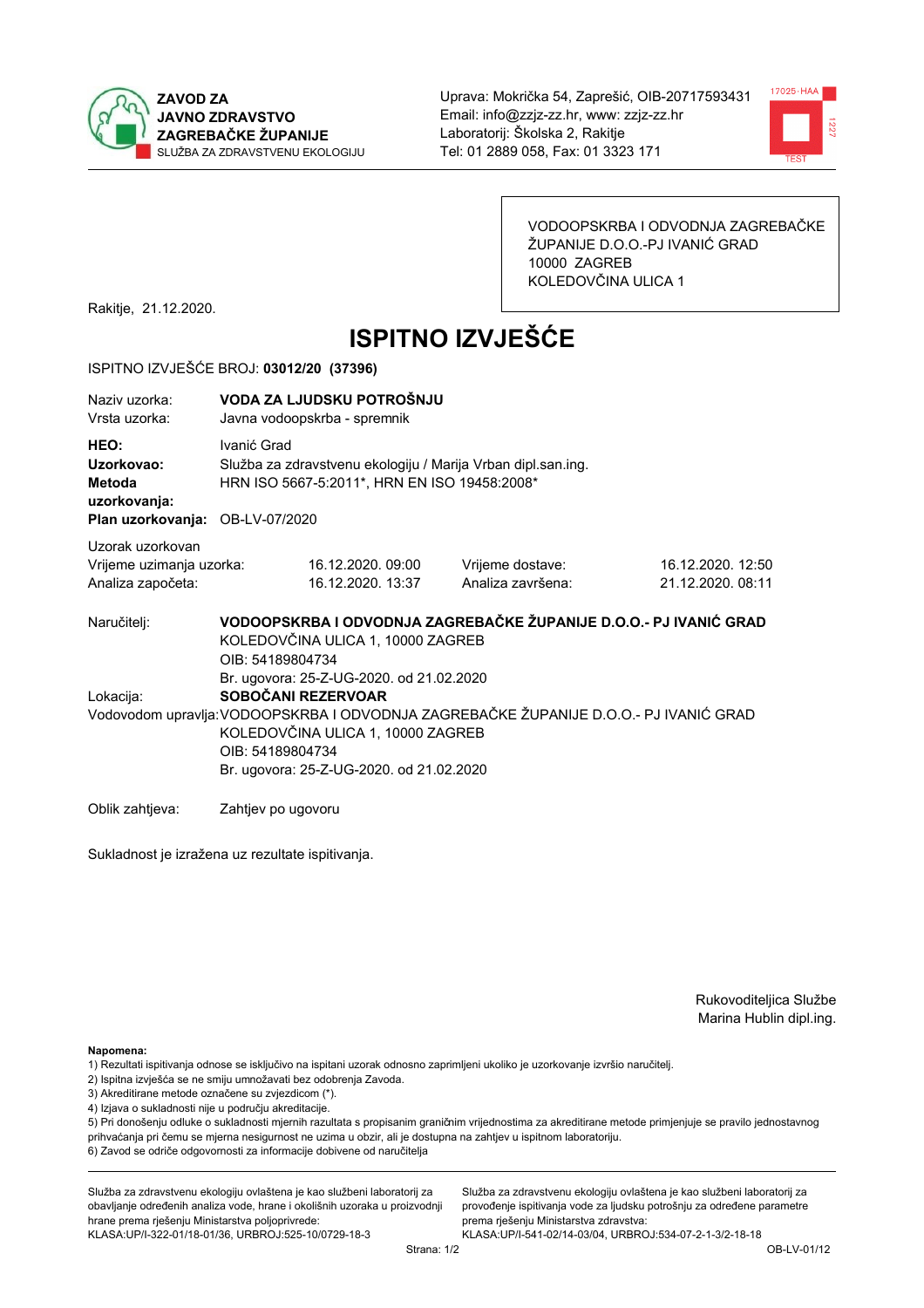



VODOOPSKRBA I ODVODNJA ZAGREBAČKE ŽUPANIJE D.O.O.-PJ IVANIĆ GRAD 10000 ZAGREB KOLEDOVČINA ULICA 1

Rakitje, 21.12.2020.

# **ISPITNO IZVJEŠĆE**

#### ISPITNO IZVJEŠĆE BROJ: 03012/20 (37396)

| Naziy uzorka:<br>Vrsta uzorka:                                                  | VODA ZA LJUDSKU POTROŠNJU<br>Javna vodoopskrba - spremnik                                                                                                                                                                                                    |                                                                                                              |                                                                   |                   |  |  |
|---------------------------------------------------------------------------------|--------------------------------------------------------------------------------------------------------------------------------------------------------------------------------------------------------------------------------------------------------------|--------------------------------------------------------------------------------------------------------------|-------------------------------------------------------------------|-------------------|--|--|
| HEO:<br>Uzorkovao:<br>Metoda<br>uzorkovanja:<br>Plan uzorkovanja: OB-LV-07/2020 | Ivanić Grad                                                                                                                                                                                                                                                  | Služba za zdravstvenu ekologiju / Marija Vrban dipl.san.ing.<br>HRN ISO 5667-5:2011*, HRN EN ISO 19458:2008* |                                                                   |                   |  |  |
| Uzorak uzorkovan<br>Vrijeme uzimanja uzorka:                                    |                                                                                                                                                                                                                                                              | 16.12.2020.09:00                                                                                             | Vrijeme dostave:                                                  | 16.12.2020. 12:50 |  |  |
| Analiza započeta:                                                               |                                                                                                                                                                                                                                                              | 16.12.2020. 13:37                                                                                            | Analiza završena:                                                 | 21.12.2020. 08:11 |  |  |
| Naručitelj:                                                                     | KOLEDOVČINA ULICA 1, 10000 ZAGREB<br>OIB: 54189804734                                                                                                                                                                                                        |                                                                                                              | VODOOPSKRBA I ODVODNJA ZAGREBAČKE ŽUPANIJE D.O.O.- PJ IVANIĆ GRAD |                   |  |  |
| Lokacija:                                                                       | Br. ugovora: 25-Z-UG-2020. od 21.02.2020<br>SOBOČANI REZERVOAR<br>Vodovodom upravlja: VODOOPSKRBA I ODVODNJA ZAGREBAČKE ŽUPANIJE D.O.O.- PJ IVANIĆ GRAD<br>KOLEDOVČINA ULICA 1, 10000 ZAGREB<br>OIB: 54189804734<br>Br. ugovora: 25-Z-UG-2020. od 21.02.2020 |                                                                                                              |                                                                   |                   |  |  |
| Oblik zahtieva:                                                                 | Zahtjev po ugovoru                                                                                                                                                                                                                                           |                                                                                                              |                                                                   |                   |  |  |

Sukladnost je izražena uz rezultate ispitivanja.

Rukovoditeljica Službe Marina Hublin dipl.ing.

Napomena:

- 1) Rezultati ispitivanja odnose se isključivo na ispitani uzorak odnosno zaprimljeni ukoliko je uzorkovanje izvršio naručiteli.
- 2) Ispitna izvješća se ne smiju umnožavati bez odobrenja Zavoda.
- 3) Akreditirane metode označene su zvjezdicom (\*).
- 4) Izjava o sukladnosti nije u području akreditacije.

5) Pri donošenju odluke o sukladnosti mjernih razultata s propisanim graničnim vrijednostima za akreditirane metode primjenjuje se pravilo jednostavnog prihvaćanja pri čemu se mjerna nesigurnost ne uzima u obzir, ali je dostupna na zahtjev u ispitnom laboratoriju.

6) Zavod se odriče odgovornosti za informacije dobivene od naručitelja

Služba za zdravstvenu ekologiju ovlaštena je kao službeni laboratorij za obavljanje određenih analiza vode, hrane i okolišnih uzoraka u proizvodnji hrane prema rješenju Ministarstva poljoprivrede:

KLASA: UP/I-322-01/18-01/36, URBROJ: 525-10/0729-18-3

Služba za zdravstvenu ekologiju ovlaštena je kao službeni laboratorij za provođenje ispitivanja vode za ljudsku potrošnju za određene parametre prema riešenju Ministarstva zdravstva: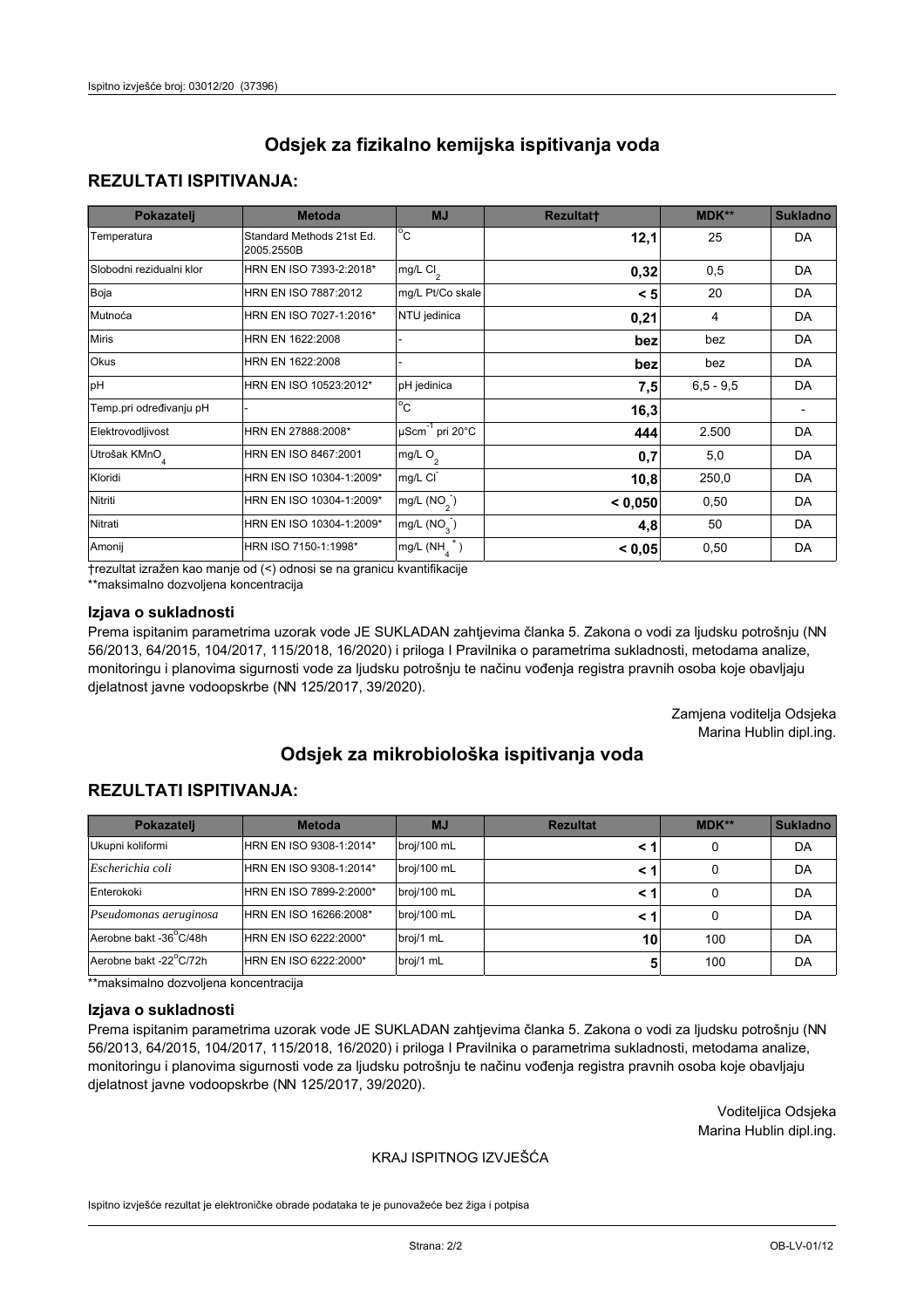## **REZULTATI ISPITIVANJA:**

| Pokazatelj                | <b>Metoda</b>                           | <b>MJ</b>                        | <b>Rezultatt</b> | MDK**       | <b>Sukladno</b> |
|---------------------------|-----------------------------------------|----------------------------------|------------------|-------------|-----------------|
| Temperatura               | Standard Methods 21st Ed.<br>2005.2550B | $^{\circ}$ C                     | 12,1             | 25          | DA              |
| Slobodni rezidualni klor  | HRN EN ISO 7393-2:2018*                 | mg/L $Cl2$                       | 0,32             | 0,5         | DA              |
| Boja                      | HRN EN ISO 7887:2012                    | mg/L Pt/Co skale                 | < 5              | 20          | DA              |
| Mutnoća                   | HRN EN ISO 7027-1:2016*                 | NTU jedinica                     | 0,21             | 4           | DA              |
| <b>Miris</b>              | HRN EN 1622:2008                        |                                  | bez              | bez         | DA              |
| Okus                      | HRN EN 1622:2008                        |                                  | bez              | bez         | DA              |
| pH                        | HRN EN ISO 10523:2012*                  | pH jedinica                      | 7,5              | $6,5 - 9,5$ | DA              |
| Temp.pri određivanju pH   |                                         | $\overline{c}$                   | 16,3             |             |                 |
| Elektrovodljivost         | HRN EN 27888:2008*                      | $\mu$ Scm <sup>-1</sup> pri 20°C | 444              | 2.500       | DA              |
| Utrošak KMnO <sub>4</sub> | HRN EN ISO 8467:2001                    | mg/L O <sub>2</sub>              | 0,7              | 5,0         | DA              |
| Kloridi                   | HRN EN ISO 10304-1:2009*                | mg/L CI                          | 10,8             | 250,0       | DA              |
| Nitriti                   | HRN EN ISO 10304-1:2009*                | mg/L (NO <sub>2</sub> )          | < 0,050          | 0,50        | DA              |
| Nitrati                   | HRN EN ISO 10304-1:2009*                | mg/L (NO <sub>3</sub> )          | 4,8              | 50          | DA              |
| Amonij                    | HRN ISO 7150-1:1998*                    | $mg/L(NH_A^+)$                   | < 0,05           | 0,50        | DA              |

trezultat izražen kao manje od (<) odnosi se na granicu kvantifikacije

\*\*maksimalno dozvoljena koncentracija

#### Izjava o sukladnosti

Prema ispitanim parametrima uzorak vode JE SUKLADAN zahtjevima članka 5. Zakona o vodi za ljudsku potrošnju (NN 56/2013, 64/2015, 104/2017, 115/2018, 16/2020) i priloga I Pravilnika o parametrima sukladnosti, metodama analize, monitoringu i planovima sigurnosti vode za ljudsku potrošnju te načinu vođenja registra pravnih osoba koje obavljaju djelatnost javne vodoopskrbe (NN 125/2017, 39/2020).

> Zamjena voditelja Odsjeka Marina Hublin dipl.ing.

# Odsiek za mikrobiološka ispitivanja voda

#### **REZULTATI ISPITIVANJA:**

| Pokazatelj             | <b>Metoda</b>           | <b>MJ</b>   | <b>Rezultat</b> | $MDK**$ | <b>Sukladno</b> |
|------------------------|-------------------------|-------------|-----------------|---------|-----------------|
| Ukupni koliformi       | HRN EN ISO 9308-1:2014* | broj/100 mL | < 1             | 0       | DA              |
| Escherichia coli       | HRN EN ISO 9308-1:2014* | broj/100 mL | < 1             | 0       | DA              |
| Enterokoki             | HRN EN ISO 7899-2:2000* | broj/100 mL | < 1             |         | DA              |
| Pseudomonas aeruginosa | HRN EN ISO 16266:2008*  | broj/100 mL | < 1             | 0       | DA              |
| Aerobne bakt -36°C/48h | HRN EN ISO 6222:2000*   | broj/1 mL   | 10              | 100     | DA              |
| Aerobne bakt -22°C/72h | HRN EN ISO 6222:2000*   | broj/1 mL   | 5               | 100     | DA              |

\*\*maksimalno dozvoljena koncentracija

#### Izjava o sukladnosti

Prema ispitanim parametrima uzorak vode JE SUKLADAN zahtjevima članka 5. Zakona o vodi za ljudsku potrošnju (NN 56/2013, 64/2015, 104/2017, 115/2018, 16/2020) i priloga I Pravilnika o parametrima sukladnosti, metodama analize, monitoringu i planovima sigurnosti vode za ljudsku potrošnju te načinu vođenja registra pravnih osoba koje obavljaju djelatnost javne vodoopskrbe (NN 125/2017, 39/2020).

> Voditeljica Odsjeka Marina Hublin dipl.ing.

#### KRAJ ISPITNOG IZVJEŠĆA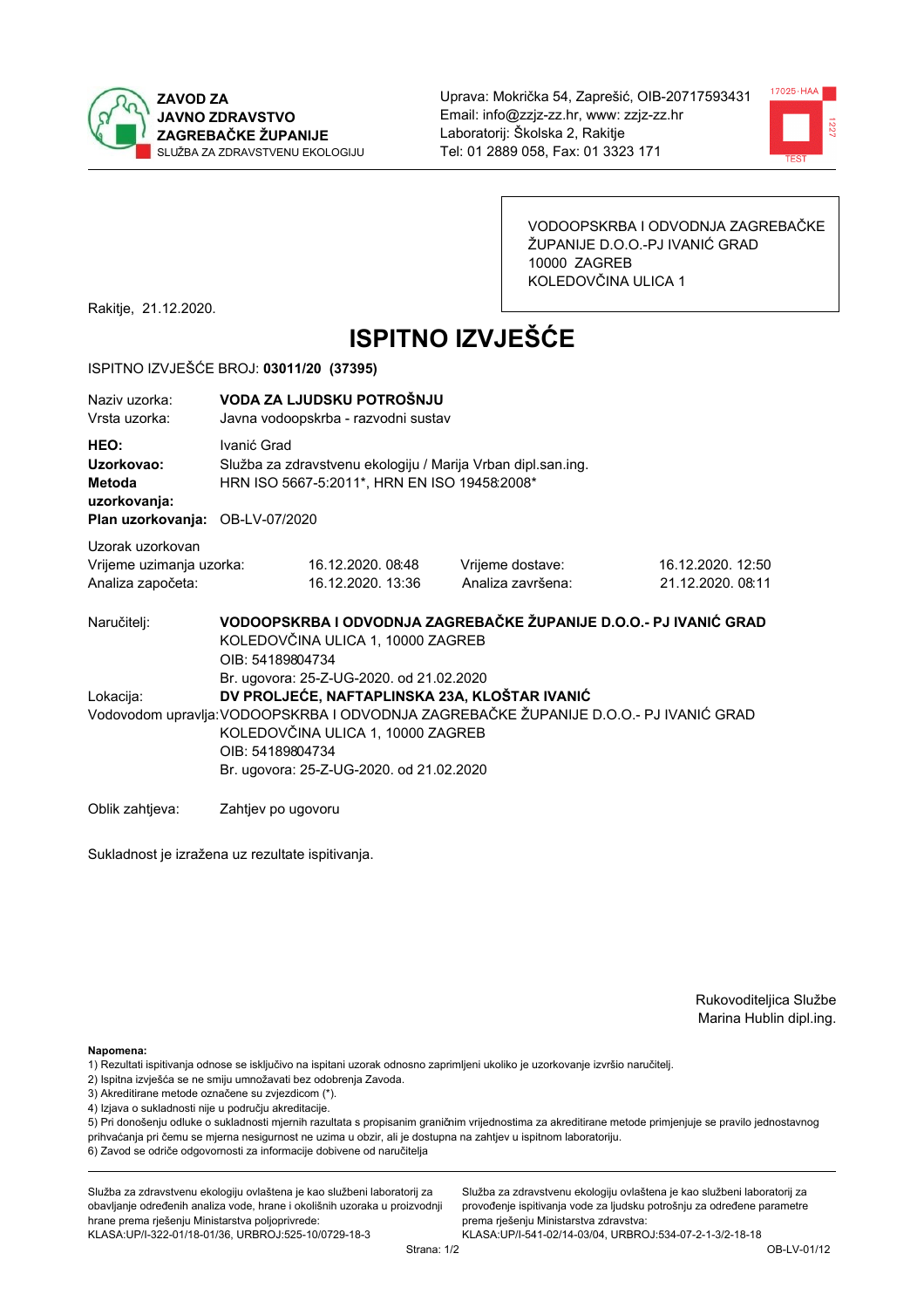



VODOOPSKRBA I ODVODNJA ZAGREBAČKE ŽUPANIJE D.O.O.-PJ IVANIĆ GRAD 10000 ZAGREB KOLEDOVČINA ULICA 1

Rakitje, 21.12.2020.

# **ISPITNO IZVJEŠĆE**

#### ISPITNO IZVJEŠĆE BROJ: 03011/20 (37395)

| Naziv uzorka:<br>Vrsta uzorka:                                                  | VODA ZA LJUDSKU POTROŠNJU<br>Javna vodoopskrba - razvodni sustav                                                                                                                           |                                                                                                              |                                       |                                        |  |  |
|---------------------------------------------------------------------------------|--------------------------------------------------------------------------------------------------------------------------------------------------------------------------------------------|--------------------------------------------------------------------------------------------------------------|---------------------------------------|----------------------------------------|--|--|
| HEO:<br>Uzorkovao:<br>Metoda<br>uzorkovanja:<br>Plan uzorkovanja: OB-LV-07/2020 | Ivanić Grad                                                                                                                                                                                | Služba za zdravstvenu ekologiju / Marija Vrban dipl.san.ing.<br>HRN ISO 5667-5:2011*, HRN EN ISO 19458:2008* |                                       |                                        |  |  |
| Uzorak uzorkovan<br>Vrijeme uzimanja uzorka:<br>Analiza započeta:               |                                                                                                                                                                                            | 16.12.2020.08:48<br>16.12.2020. 13:36                                                                        | Vrijeme dostave:<br>Analiza završena: | 16.12.2020. 12:50<br>21.12.2020. 08:11 |  |  |
| Naručitelj:                                                                     | VODOOPSKRBA I ODVODNJA ZAGREBAČKE ŽUPANIJE D.O.O.- PJ IVANIĆ GRAD<br>KOLEDOVČINA ULICA 1, 10000 ZAGREB                                                                                     |                                                                                                              |                                       |                                        |  |  |
| Lokacija:                                                                       | OIB: 54189804734                                                                                                                                                                           | Br. ugovora: 25-Z-UG-2020. od 21.02.2020<br>DV PROLJEĆE, NAFTAPLINSKA 23A, KLOŠTAR IVANIĆ                    |                                       |                                        |  |  |
|                                                                                 | Vodovodom upravlja: VODOOPSKRBA I ODVODNJA ZAGREBAČKE ŽUPANIJE D.O.O.- PJ IVANIĆ GRAD<br>KOLEDOVČINA ULICA 1, 10000 ZAGREB<br>OIB: 54189804734<br>Br. ugovora: 25-Z-UG-2020. od 21.02.2020 |                                                                                                              |                                       |                                        |  |  |
| Oblik zahtieva:                                                                 | Zahtjev po ugovoru                                                                                                                                                                         |                                                                                                              |                                       |                                        |  |  |

Sukladnost je izražena uz rezultate ispitivanja.

Rukovoditeljica Službe Marina Hublin dipl.ing.

Napomena:

- 1) Rezultati ispitivanja odnose se isključivo na ispitani uzorak odnosno zaprimljeni ukoliko je uzorkovanje izvršio naručiteli.
- 2) Ispitna izvješća se ne smiju umnožavati bez odobrenja Zavoda.
- 3) Akreditirane metode označene su zvjezdicom (\*).
- 4) Izjava o sukladnosti nije u području akreditacije.

5) Pri donošenju odluke o sukladnosti mjernih razultata s propisanim graničnim vrijednostima za akreditirane metode primjenjuje se pravilo jednostavnog prihvaćanja pri čemu se mjerna nesigurnost ne uzima u obzir, ali je dostupna na zahtjev u ispitnom laboratoriju.

6) Zavod se odriče odgovornosti za informacije dobivene od naručitelja

Služba za zdravstvenu ekologiju ovlaštena je kao službeni laboratorij za obavljanje određenih analiza vode, hrane i okolišnih uzoraka u proizvodnji hrane prema rješenju Ministarstva poljoprivrede:

KLASA: UP/I-322-01/18-01/36, URBROJ: 525-10/0729-18-3

Služba za zdravstvenu ekologiju ovlaštena je kao službeni laboratorij za provođenje ispitivanja vode za ljudsku potrošnju za određene parametre prema riešenju Ministarstva zdravstva: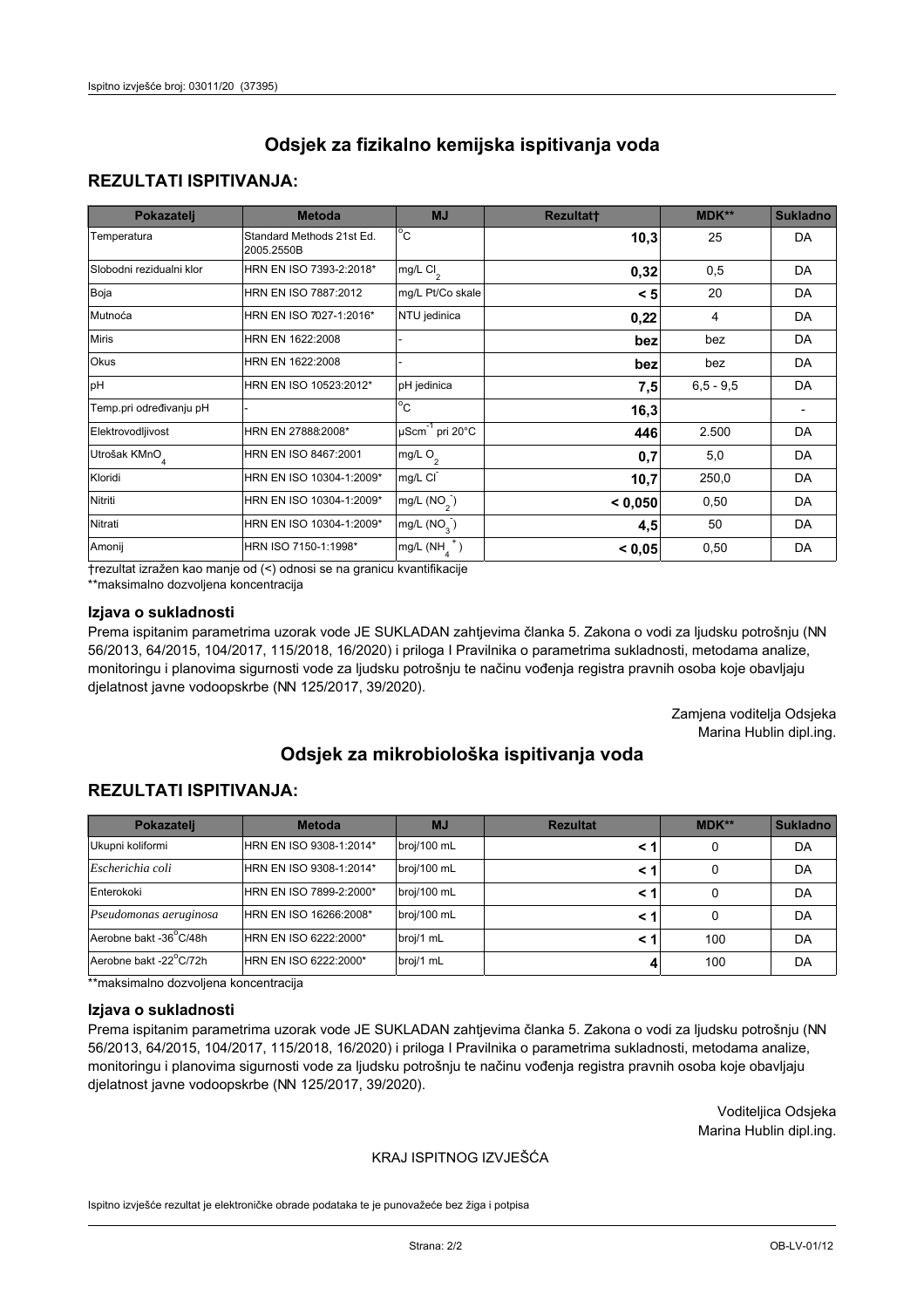## **REZULTATI ISPITIVANJA:**

| Pokazatelj                | <b>Metoda</b>                           | <b>MJ</b>                   | <b>Rezultatt</b> | <b>MDK**</b> | <b>Sukladno</b> |
|---------------------------|-----------------------------------------|-----------------------------|------------------|--------------|-----------------|
| Temperatura               | Standard Methods 21st Ed.<br>2005.2550B | $^{\circ}$ C                | 10,3             | 25           | DA              |
| Slobodni rezidualni klor  | HRN EN ISO 7393-2:2018*                 | mg/L $Cl_2$                 | 0,32             | 0,5          | DA              |
| Boja                      | HRN EN ISO 7887:2012                    | mg/L Pt/Co skale            | < 5              | 20           | DA              |
| Mutnoća                   | HRN EN ISO 7027-1:2016*                 | NTU jedinica                | 0,22             | 4            | DA              |
| <b>Miris</b>              | HRN EN 1622:2008                        |                             | bez              | bez          | DA              |
| Okus                      | HRN EN 1622:2008                        |                             | bez              | bez          | DA              |
| pH                        | HRN EN ISO 10523:2012*                  | pH jedinica                 | 7,5              | $6.5 - 9.5$  | DA              |
| Temp.pri određivanju pH   |                                         | $\overline{c}$              | 16,3             |              |                 |
| Elektrovodljivost         | HRN EN 27888:2008*                      | µScm <sup>-1</sup> pri 20°C | 446              | 2.500        | DA              |
| Utrošak KMnO <sub>4</sub> | HRN EN ISO 8467:2001                    | mg/L O <sub>2</sub>         | 0,7              | 5,0          | DA              |
| Kloridi                   | HRN EN ISO 10304-1:2009*                | mg/L CI                     | 10,7             | 250,0        | DA              |
| Nitriti                   | HRN EN ISO 10304-1:2009*                | mg/L $(NO2)$                | < 0,050          | 0,50         | DA              |
| Nitrati                   | HRN EN ISO 10304-1:2009*                | mg/L (NO <sub>3</sub> )     | 4,5              | 50           | DA              |
| Amonij                    | HRN ISO 7150-1:1998*                    | mg/L $(NH_A^+)$             | < 0,05           | 0,50         | DA              |

trezultat izražen kao manje od (<) odnosi se na granicu kvantifikacije

\*\*maksimalno dozvoljena koncentracija

#### Izjava o sukladnosti

Prema ispitanim parametrima uzorak vode JE SUKLADAN zahtjevima članka 5. Zakona o vodi za ljudsku potrošnju (NN 56/2013, 64/2015, 104/2017, 115/2018, 16/2020) i priloga I Pravilnika o parametrima sukladnosti, metodama analize, monitoringu i planovima sigurnosti vode za ljudsku potrošnju te načinu vođenja registra pravnih osoba koje obavljaju djelatnost javne vodoopskrbe (NN 125/2017, 39/2020).

> Zamjena voditelja Odsjeka Marina Hublin dipl.ing.

# Odsiek za mikrobiološka ispitivanja voda

## **REZULTATI ISPITIVANJA:**

| Pokazatelj             | <b>Metoda</b>           | <b>MJ</b>   | <b>Rezultat</b> | $MDK**$ | <b>Sukladno</b> |
|------------------------|-------------------------|-------------|-----------------|---------|-----------------|
| Ukupni koliformi       | HRN EN ISO 9308-1:2014* | broj/100 mL | < 1             | 0       | DA              |
| Escherichia coli       | HRN EN ISO 9308-1:2014* | broj/100 mL | < 1             | 0       | DA              |
| Enterokoki             | HRN EN ISO 7899-2:2000* | broj/100 mL | < 1             |         | DA              |
| Pseudomonas aeruginosa | HRN EN ISO 16266:2008*  | broj/100 mL | < 1             | 0       | DA              |
| Aerobne bakt -36°C/48h | HRN EN ISO 6222:2000*   | broj/1 mL   | < 1             | 100     | DA              |
| Aerobne bakt -22°C/72h | HRN EN ISO 6222:2000*   | broj/1 mL   |                 | 100     | DA              |

\*\*maksimalno dozvoljena koncentracija

#### Izjava o sukladnosti

Prema ispitanim parametrima uzorak vode JE SUKLADAN zahtjevima članka 5. Zakona o vodi za ljudsku potrošnju (NN 56/2013, 64/2015, 104/2017, 115/2018, 16/2020) i priloga I Pravilnika o parametrima sukladnosti, metodama analize, monitoringu i planovima sigurnosti vode za ljudsku potrošnju te načinu vođenja registra pravnih osoba koje obavljaju djelatnost javne vodoopskrbe (NN 125/2017, 39/2020).

> Voditeljica Odsjeka Marina Hublin dipl.ing.

### KRAJ ISPITNOG IZVJEŠĆA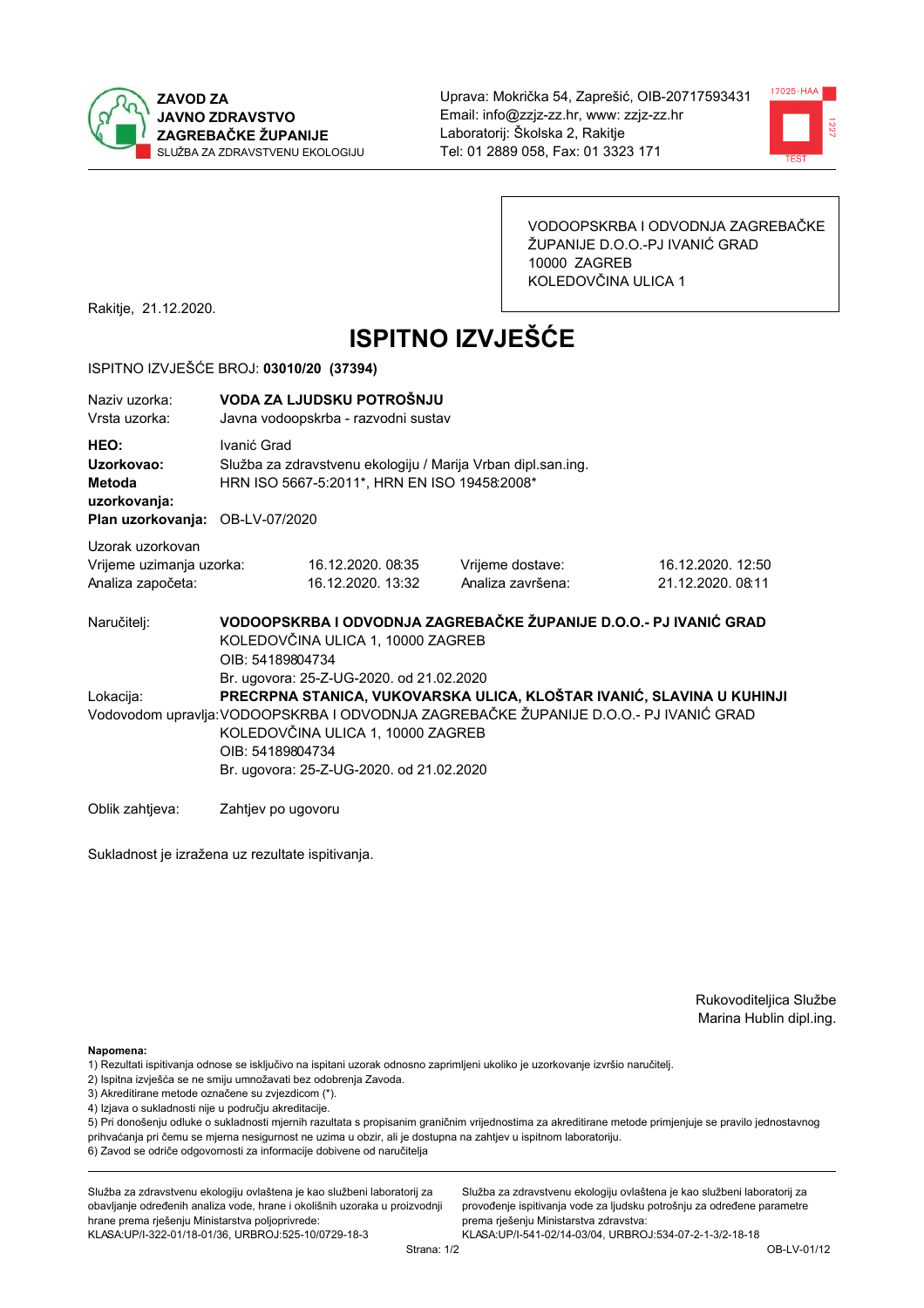



VODOOPSKRBA I ODVODNJA ZAGREBAČKE ŽUPANIJE D.O.O.-PJ IVANIĆ GRAD 10000 ZAGREB KOLEDOVČINA ULICA 1

Rakitje, 21.12.2020.

# **ISPITNO IZVJEŠĆE**

#### ISPITNO IZVJEŠĆE BROJ: 03010/20 (37394)

| Naziy uzorka:<br>Vrsta uzorka:                                                  | VODA ZA LJUDSKU POTROŠNJU<br>Javna vodoopskrba - razvodni sustav                                                                                                                           |                                                                                                              |                   |                                                                       |  |  |
|---------------------------------------------------------------------------------|--------------------------------------------------------------------------------------------------------------------------------------------------------------------------------------------|--------------------------------------------------------------------------------------------------------------|-------------------|-----------------------------------------------------------------------|--|--|
| HEO:<br>Uzorkovao:<br>Metoda<br>uzorkovanja:<br>Plan uzorkovanja: OB-LV-07/2020 | Ivanić Grad                                                                                                                                                                                | Služba za zdravstvenu ekologiju / Marija Vrban dipl.san.ing.<br>HRN ISO 5667-5:2011*, HRN EN ISO 19458:2008* |                   |                                                                       |  |  |
| Uzorak uzorkovan                                                                |                                                                                                                                                                                            |                                                                                                              |                   |                                                                       |  |  |
| Vrijeme uzimanja uzorka:                                                        | 16.12.2020.08:35                                                                                                                                                                           |                                                                                                              | Vrijeme dostave:  | 16.12.2020. 12:50                                                     |  |  |
| Analiza započeta:                                                               | 16.12.2020. 13:32                                                                                                                                                                          |                                                                                                              | Analiza završena: | 21.12.2020. 08:11                                                     |  |  |
| Naručitelj:                                                                     | VODOOPSKRBA I ODVODNJA ZAGREBAČKE ŽUPANIJE D.O.O.- PJ IVANIĆ GRAD<br>KOLEDOVČINA ULICA 1, 10000 ZAGREB<br>OIB: 54189804734<br>Br. ugovora: 25-Z-UG-2020. od 21.02.2020                     |                                                                                                              |                   |                                                                       |  |  |
| Lokacija:                                                                       | Vodovodom upravlja: VODOOPSKRBA I ODVODNJA ZAGREBAČKE ŽUPANIJE D.O.O.- PJ IVANIĆ GRAD<br>KOLEDOVČINA ULICA 1, 10000 ZAGREB<br>OIB: 54189804734<br>Br. ugovora: 25-Z-UG-2020. od 21.02.2020 |                                                                                                              |                   | PRECRPNA STANICA, VUKOVARSKA ULICA, KLOŠTAR IVANIĆ, SLAVINA U KUHINJI |  |  |
| Oblik zahtieva:                                                                 | Zahtjev po ugovoru                                                                                                                                                                         |                                                                                                              |                   |                                                                       |  |  |

Sukladnost je izražena uz rezultate ispitivanja.

Rukovoditeljica Službe Marina Hublin dipl.ing.

Napomena:

- 1) Rezultati ispitivanja odnose se isključivo na ispitani uzorak odnosno zaprimljeni ukoliko je uzorkovanje izvršio naručiteli.
- 2) Ispitna izvješća se ne smiju umnožavati bez odobrenja Zavoda.
- 3) Akreditirane metode označene su zvjezdicom (\*).
- 4) Izjava o sukladnosti nije u području akreditacije.

5) Pri donošenju odluke o sukladnosti mjernih razultata s propisanim graničnim vrijednostima za akreditirane metode primjenjuje se pravilo jednostavnog prihvaćanja pri čemu se mjerna nesigurnost ne uzima u obzir, ali je dostupna na zahtjev u ispitnom laboratoriju.

6) Zavod se odriče odgovornosti za informacije dobivene od naručitelja

Služba za zdravstvenu ekologiju ovlaštena je kao službeni laboratorij za obavljanje određenih analiza vode, hrane i okolišnih uzoraka u proizvodnji hrane prema rješenju Ministarstva poljoprivrede: KLASA.UP/I-322-01/18-01/36, URBROJ:525-10/0729-18-3

Služba za zdravstvenu ekologiju ovlaštena je kao službeni laboratorij za provođenje ispitivanja vode za ljudsku potrošnju za određene parametre prema riešenju Ministarstva zdravstva: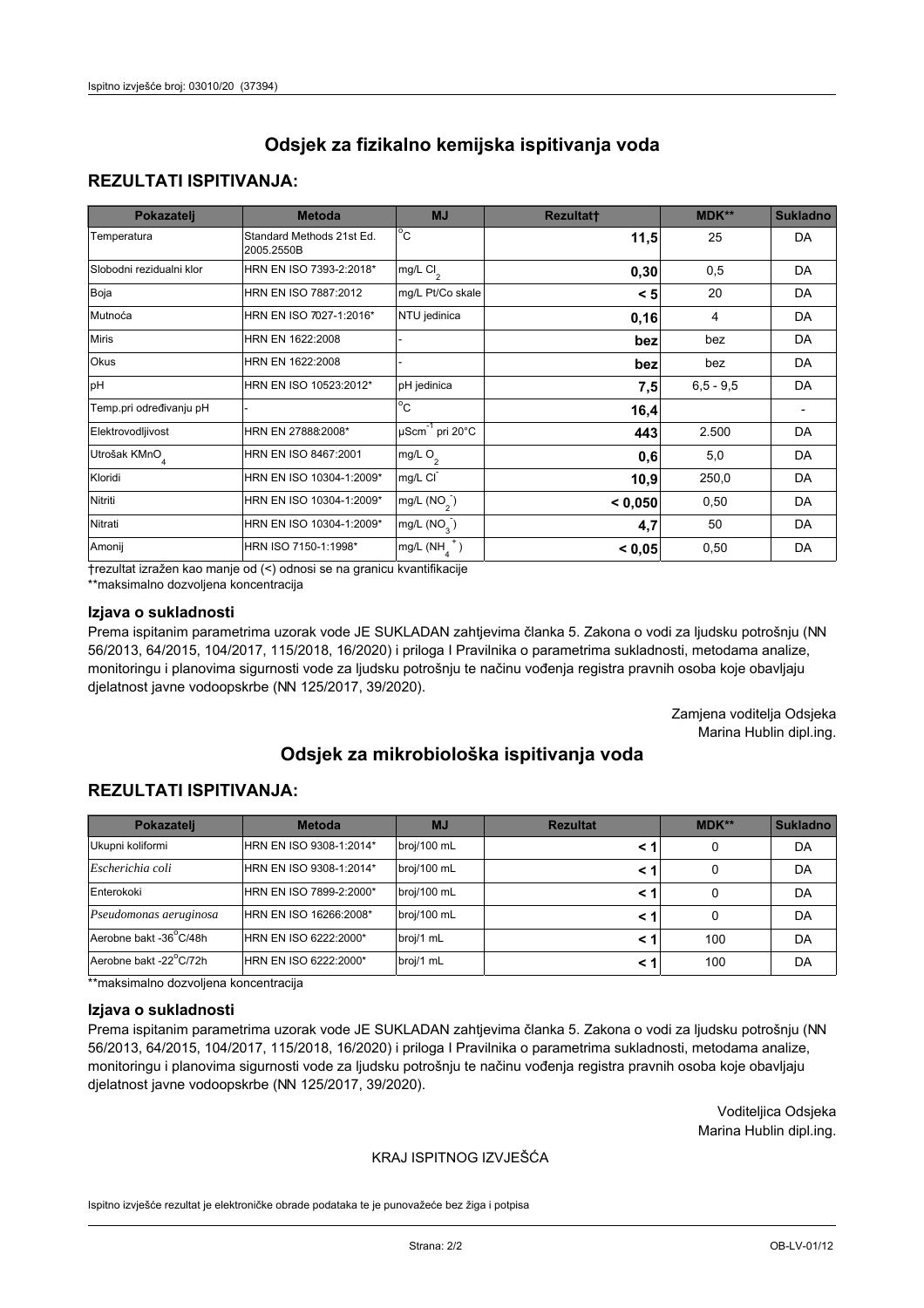## **REZULTATI ISPITIVANJA:**

| Pokazatelj                | <b>Metoda</b>                           | <b>MJ</b>                                | <b>Rezultatt</b> | <b>MDK**</b> | <b>Sukladno</b> |
|---------------------------|-----------------------------------------|------------------------------------------|------------------|--------------|-----------------|
| Temperatura               | Standard Methods 21st Ed.<br>2005.2550B | $\overline{C}$                           | 11,5             | 25           | DA              |
| Slobodni rezidualni klor  | HRN EN ISO 7393-2:2018*                 | $\overline{\text{mg/L}}$ Cl <sub>2</sub> | 0,30             | 0,5          | DA              |
| Boja                      | HRN EN ISO 7887:2012                    | mg/L Pt/Co skale                         | < 5              | 20           | DA              |
| Mutnoća                   | HRN EN ISO 7027-1:2016*                 | NTU jedinica                             | 0, 16            | 4            | DA              |
| <b>Miris</b>              | HRN EN 1622:2008                        |                                          | bez              | bez          | DA              |
| Okus                      | HRN EN 1622:2008                        |                                          | bez              | bez          | DA              |
| pH                        | HRN EN ISO 10523:2012*                  | pH jedinica                              | 7,5              | $6.5 - 9.5$  | DA              |
| Temp.pri određivanju pH   |                                         | $\overline{c}$                           | 16,4             |              |                 |
| Elektrovodljivost         | HRN EN 27888:2008*                      | $\mu$ Scm <sup>-1</sup> pri 20°C         | 443              | 2.500        | DA              |
| Utrošak KMnO <sub>4</sub> | HRN EN ISO 8467:2001                    | mg/L $O_2$                               | 0,6              | 5,0          | DA              |
| Kloridi                   | HRN EN ISO 10304-1:2009*                | mg/L CI                                  | 10,9             | 250,0        | DA              |
| Nitriti                   | HRN EN ISO 10304-1:2009*                | mg/L $(NO2)$                             | < 0,050          | 0,50         | DA              |
| Nitrati                   | HRN EN ISO 10304-1:2009*                | mg/L $(NO3)$                             | 4,7              | 50           | DA              |
| Amonij                    | HRN ISO 7150-1:1998*                    | mg/L $(NH_{\lambda}^{\dagger})$          | < 0,05           | 0,50         | DA              |

trezultat izražen kao manje od (<) odnosi se na granicu kvantifikacije

\*\*maksimalno dozvoljena koncentracija

#### Izjava o sukladnosti

Prema ispitanim parametrima uzorak vode JE SUKLADAN zahtjevima članka 5. Zakona o vodi za ljudsku potrošnju (NN 56/2013, 64/2015, 104/2017, 115/2018, 16/2020) i priloga I Pravilnika o parametrima sukladnosti, metodama analize, monitoringu i planovima sigurnosti vode za ljudsku potrošnju te načinu vođenja registra pravnih osoba koje obavljaju djelatnost javne vodoopskrbe (NN 125/2017, 39/2020).

> Zamjena voditelja Odsjeka Marina Hublin dipl.ing.

# Odsiek za mikrobiološka ispitivanja voda

#### **REZULTATI ISPITIVANJA:**

| Pokazatelj             | <b>Metoda</b>           | <b>MJ</b>   | <b>Rezultat</b> | $MDK**$ | <b>Sukladno</b> |
|------------------------|-------------------------|-------------|-----------------|---------|-----------------|
| Ukupni koliformi       | HRN EN ISO 9308-1:2014* | broj/100 mL | < 1             | 0       | DA              |
| Escherichia coli       | HRN EN ISO 9308-1:2014* | broj/100 mL | < 1             | 0       | DA              |
| Enterokoki             | HRN EN ISO 7899-2:2000* | broj/100 mL | < 1             |         | DA              |
| Pseudomonas aeruginosa | HRN EN ISO 16266:2008*  | broj/100 mL | < 1             | 0       | DA              |
| Aerobne bakt -36°C/48h | HRN EN ISO 6222:2000*   | broj/1 mL   | < 1             | 100     | DA              |
| Aerobne bakt -22°C/72h | HRN EN ISO 6222:2000*   | broj/1 mL   | < 1             | 100     | DA              |

\*\*maksimalno dozvoljena koncentracija

#### Izjava o sukladnosti

Prema ispitanim parametrima uzorak vode JE SUKLADAN zahtjevima članka 5. Zakona o vodi za ljudsku potrošnju (NN 56/2013, 64/2015, 104/2017, 115/2018, 16/2020) i priloga I Pravilnika o parametrima sukladnosti, metodama analize, monitoringu i planovima sigurnosti vode za ljudsku potrošnju te načinu vođenja registra pravnih osoba koje obavljaju djelatnost javne vodoopskrbe (NN 125/2017, 39/2020).

> Voditeljica Odsjeka Marina Hublin dipl.ing.

#### KRAJ ISPITNOG IZVJEŠĆA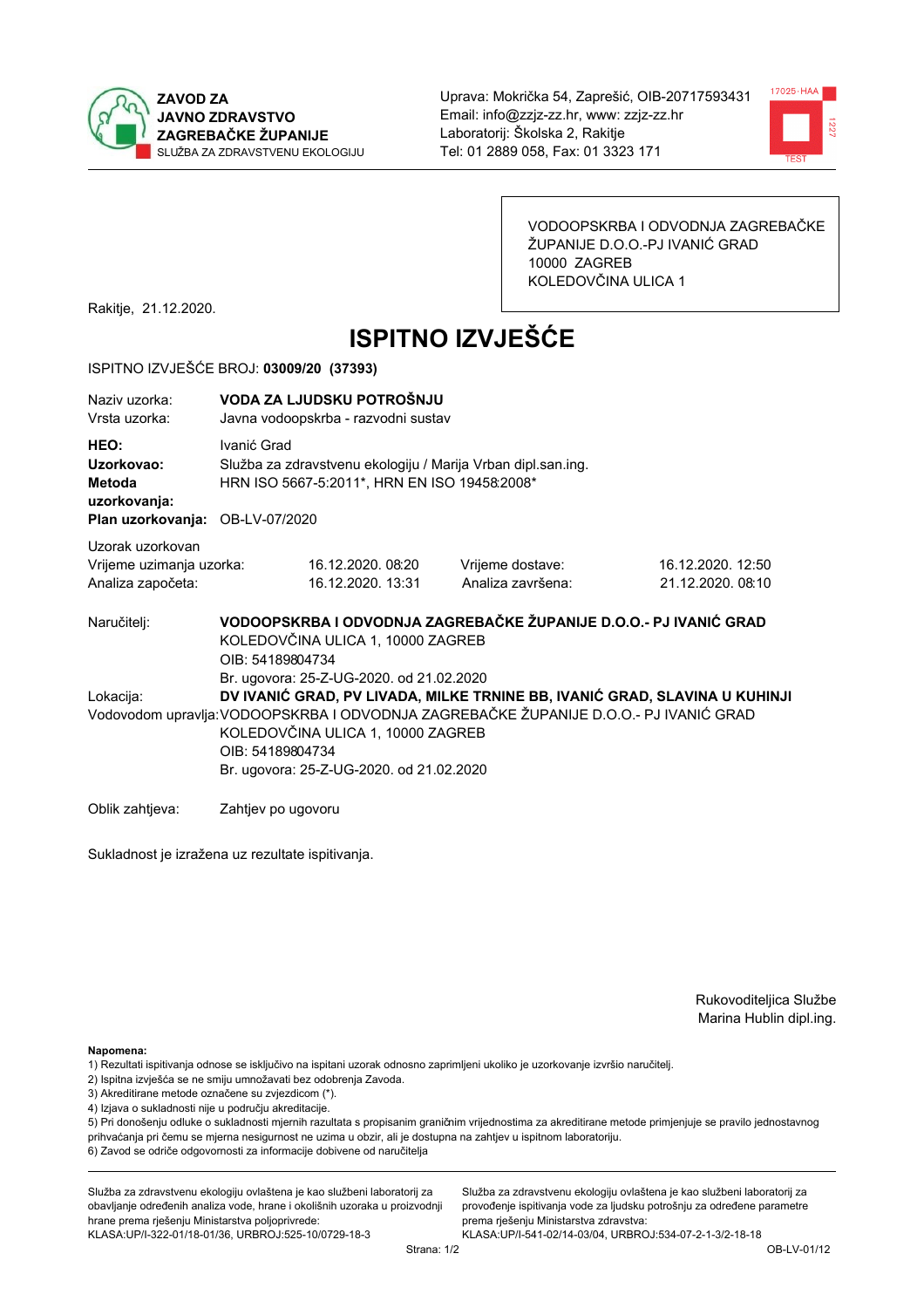



VODOOPSKRBA I ODVODNJA ZAGREBAČKE ŽUPANIJE D.O.O.-PJ IVANIĆ GRAD 10000 ZAGREB KOLEDOVČINA ULICA 1

Rakitje, 21.12.2020.

# **ISPITNO IZVJEŠĆE**

#### ISPITNO IZVJEŠĆE BROJ: 03009/20 (37393)

| Naziv uzorka:<br>Vrsta uzorka:                                                         |                    | VODA ZA LJUDSKU POTROŠNJU<br>Javna vodoopskrba - razvodni sustav                                                          |                                                                                       |                                                                            |  |  |
|----------------------------------------------------------------------------------------|--------------------|---------------------------------------------------------------------------------------------------------------------------|---------------------------------------------------------------------------------------|----------------------------------------------------------------------------|--|--|
| HEO:<br>Uzorkovao:<br><b>Metoda</b><br>uzorkovanja:<br>Plan uzorkovanja: OB-LV-07/2020 | Ivanić Grad        | Služba za zdravstvenu ekologiju / Marija Vrban dipl.san.ing.<br>HRN ISO 5667-5:2011*, HRN EN ISO 19458:2008*              |                                                                                       |                                                                            |  |  |
| Uzorak uzorkovan<br>Vrijeme uzimanja uzorka:<br>Analiza započeta:                      |                    | 16.12.2020.08:20<br>16.12.2020. 13:31                                                                                     | Vrijeme dostave:<br>Analiza završena:                                                 | 16.12.2020. 12:50<br>21.12.2020. 08:10                                     |  |  |
| Naručitelj:                                                                            | OIB: 54189804734   | KOLEDOVČINA ULICA 1, 10000 ZAGREB                                                                                         |                                                                                       | VODOOPSKRBA I ODVODNJA ZAGREBAČKE ŽUPANIJE D.O.O.- PJ IVANIĆ GRAD          |  |  |
| Lokacija:                                                                              | OIB: 54189804734   | Br. ugovora: 25-Z-UG-2020. od 21.02.2020<br>KOLEDOVČINA ULICA 1, 10000 ZAGREB<br>Br. ugovora: 25-Z-UG-2020. od 21.02.2020 | Vodovodom upravlja: VODOOPSKRBA I ODVODNJA ZAGREBAČKE ŽUPANIJE D.O.O.- PJ IVANIĆ GRAD | DV IVANIĆ GRAD, PV LIVADA, MILKE TRNINE BB, IVANIĆ GRAD, SLAVINA U KUHINJI |  |  |
| Oblik zahtjeva:                                                                        | Zahtjev po ugovoru |                                                                                                                           |                                                                                       |                                                                            |  |  |

Sukladnost je izražena uz rezultate ispitivanja.

Rukovoditeljica Službe Marina Hublin dipl.ing.

Napomena:

- 1) Rezultati ispitivanja odnose se isključivo na ispitani uzorak odnosno zaprimljeni ukoliko je uzorkovanje izvršio naručiteli.
- 2) Ispitna izvješća se ne smiju umnožavati bez odobrenja Zavoda.
- 3) Akreditirane metode označene su zvjezdicom (\*).
- 4) Izjava o sukladnosti nije u području akreditacije.

5) Pri donošenju odluke o sukladnosti mjernih razultata s propisanim graničnim vrijednostima za akreditirane metode primjenjuje se pravilo jednostavnog prihvaćanja pri čemu se mjerna nesigurnost ne uzima u obzir, ali je dostupna na zahtjev u ispitnom laboratoriju.

6) Zavod se odriče odgovornosti za informacije dobivene od naručitelja

Služba za zdravstvenu ekologiju ovlaštena je kao službeni laboratorij za obavljanje određenih analiza vode, hrane i okolišnih uzoraka u proizvodnji hrane prema rješenju Ministarstva poljoprivrede:

KLASA: UP/I-322-01/18-01/36, URBROJ: 525-10/0729-18-3

Služba za zdravstvenu ekologiju ovlaštena je kao službeni laboratorij za provođenje ispitivanja vode za ljudsku potrošnju za određene parametre prema riešenju Ministarstva zdravstva: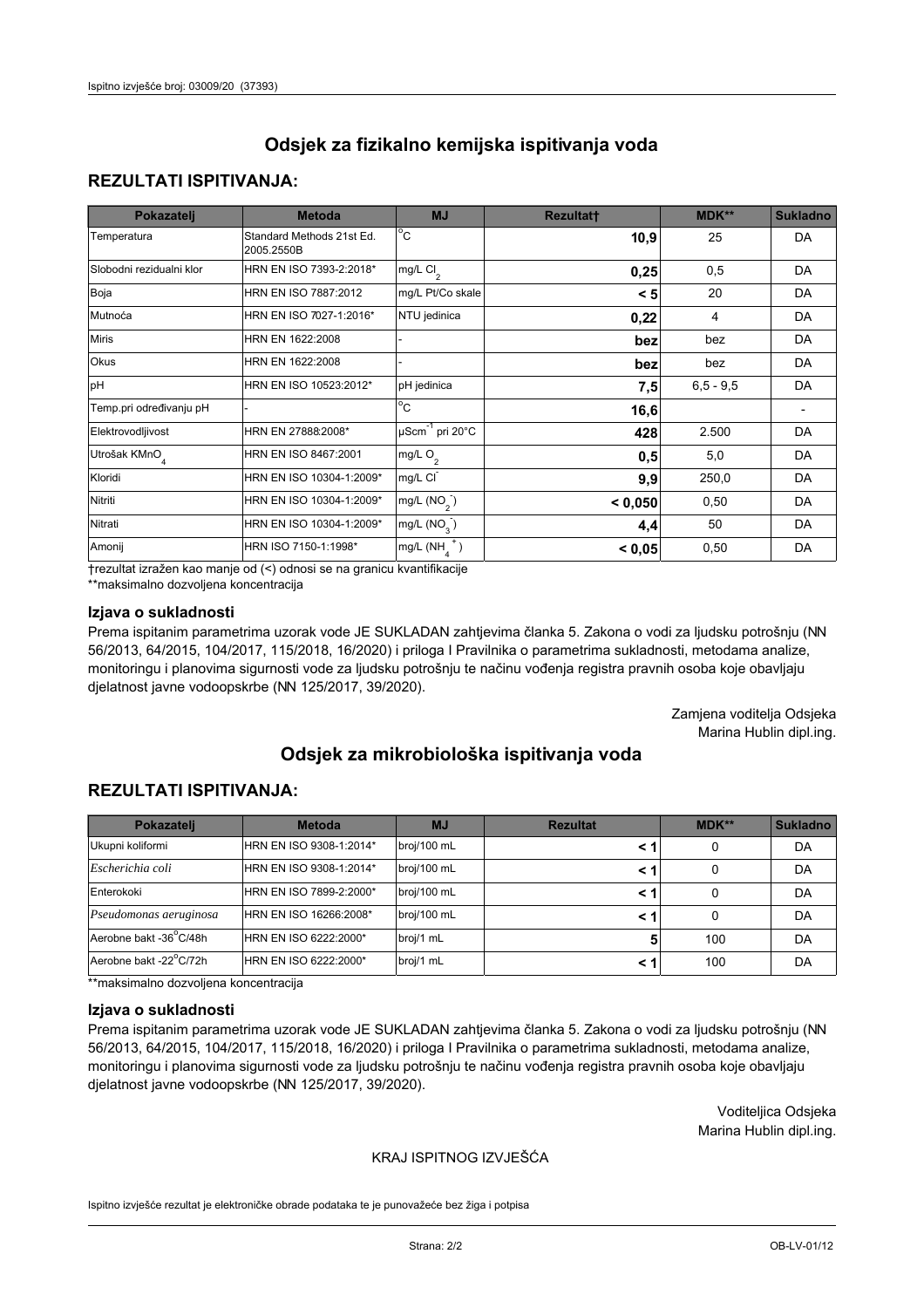## **REZULTATI ISPITIVANJA:**

| Pokazatelj                | <b>Metoda</b>                           | <b>MJ</b>                   | <b>Rezultatt</b> | MDK**       | <b>Sukladno</b> |
|---------------------------|-----------------------------------------|-----------------------------|------------------|-------------|-----------------|
| Temperatura               | Standard Methods 21st Ed.<br>2005.2550B | $^{\circ}$ C                | 10,9             | 25          | DA              |
| Slobodni rezidualni klor  | HRN EN ISO 7393-2:2018*                 | $mg/L$ Cl <sub>2</sub>      | 0,25             | 0,5         | DA              |
| Boja                      | HRN EN ISO 7887:2012                    | mg/L Pt/Co skale            | < 5              | 20          | DA              |
| Mutnoća                   | HRN EN ISO 7027-1:2016*                 | NTU jedinica                | 0,22             | 4           | DA              |
| <b>Miris</b>              | HRN EN 1622:2008                        |                             | bez              | bez         | DA              |
| Okus                      | HRN EN 1622:2008                        |                             | bez              | bez         | DA              |
| pH                        | HRN EN ISO 10523:2012*                  | pH jedinica                 | 7,5              | $6,5 - 9,5$ | DA              |
| Temp.pri određivanju pH   |                                         | $\overline{c}$              | 16,6             |             |                 |
| Elektrovodljivost         | HRN EN 27888:2008*                      | µScm <sup>-1</sup> pri 20°C | 428              | 2.500       | DA              |
| Utrošak KMnO <sub>4</sub> | HRN EN ISO 8467:2001                    | mg/L O <sub>2</sub>         | 0,5              | 5,0         | DA              |
| Kloridi                   | HRN EN ISO 10304-1:2009*                | mg/L CI                     | 9,9              | 250,0       | DA              |
| Nitriti                   | HRN EN ISO 10304-1:2009*                | mg/L $(NO2)$                | < 0,050          | 0,50        | DA              |
| Nitrati                   | HRN EN ISO 10304-1:2009*                | mg/L (NO <sub>3</sub> )     | 4,4              | 50          | DA              |
| Amonij                    | HRN ISO 7150-1:1998*                    | $mg/L(NH_A^+)$              | < 0,05           | 0,50        | <b>DA</b>       |

trezultat izražen kao manje od (<) odnosi se na granicu kvantifikacije

\*\*maksimalno dozvoljena koncentracija

#### Izjava o sukladnosti

Prema ispitanim parametrima uzorak vode JE SUKLADAN zahtjevima članka 5. Zakona o vodi za ljudsku potrošnju (NN 56/2013, 64/2015, 104/2017, 115/2018, 16/2020) i priloga I Pravilnika o parametrima sukladnosti, metodama analize, monitoringu i planovima sigurnosti vode za ljudsku potrošnju te načinu vođenja registra pravnih osoba koje obavljaju djelatnost javne vodoopskrbe (NN 125/2017, 39/2020).

> Zamjena voditelja Odsjeka Marina Hublin dipl.ing.

# Odsiek za mikrobiološka ispitivanja voda

## **REZULTATI ISPITIVANJA:**

| Pokazatelj             | <b>Metoda</b>           | <b>MJ</b>   | <b>Rezultat</b> | MDK** | <b>Sukladno</b> |
|------------------------|-------------------------|-------------|-----------------|-------|-----------------|
| Ukupni koliformi       | HRN EN ISO 9308-1:2014* | broj/100 mL | < 1             | 0     | DA              |
| Escherichia coli       | HRN EN ISO 9308-1:2014* | broj/100 mL | < 1             | 0     | DA              |
| Enterokoki             | HRN EN ISO 7899-2:2000* | broj/100 mL | < 1             | 0     | DA              |
| Pseudomonas aeruginosa | HRN EN ISO 16266:2008*  | broj/100 mL | < 1             | 0     | DA              |
| Aerobne bakt -36°C/48h | HRN EN ISO 6222:2000*   | broj/1 mL   |                 | 100   | DA              |
| Aerobne bakt -22°C/72h | HRN EN ISO 6222:2000*   | broj/1 mL   | < 1             | 100   | DA              |

\*\*maksimalno dozvoljena koncentracija

#### Izjava o sukladnosti

Prema ispitanim parametrima uzorak vode JE SUKLADAN zahtjevima članka 5. Zakona o vodi za ljudsku potrošnju (NN 56/2013, 64/2015, 104/2017, 115/2018, 16/2020) i priloga I Pravilnika o parametrima sukladnosti, metodama analize, monitoringu i planovima sigurnosti vode za ljudsku potrošnju te načinu vođenja registra pravnih osoba koje obavljaju djelatnost javne vodoopskrbe (NN 125/2017, 39/2020).

> Voditeljica Odsjeka Marina Hublin dipl.ing.

#### KRAJ ISPITNOG IZVJEŠĆA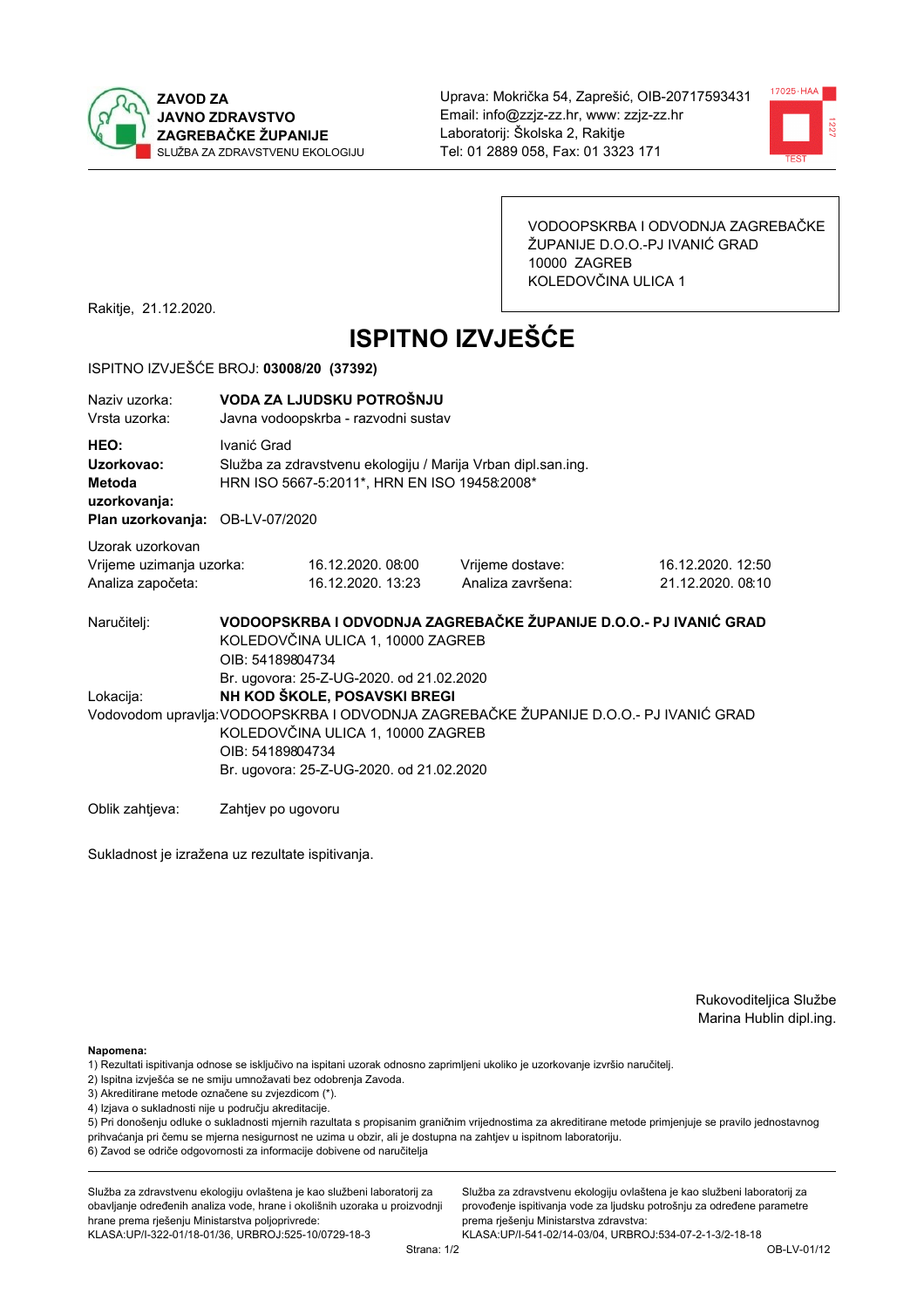



VODOOPSKRBA I ODVODNJA ZAGREBAČKE ŽUPANIJE D.O.O.-PJ IVANIĆ GRAD 10000 ZAGREB KOLEDOVČINA ULICA 1

Rakitje, 21.12.2020.

# **ISPITNO IZVJEŠĆE**

#### ISPITNO IZVJEŠĆE BROJ: 03008/20 (37392)

| Naziv uzorka:<br>Vrsta uzorka:                                                  | VODA ZA LJUDSKU POTROŠNJU<br>Javna vodoopskrba - razvodni sustav                                                                                                                                                                                                       |                                                                                                              |                                                                   |                                       |  |  |
|---------------------------------------------------------------------------------|------------------------------------------------------------------------------------------------------------------------------------------------------------------------------------------------------------------------------------------------------------------------|--------------------------------------------------------------------------------------------------------------|-------------------------------------------------------------------|---------------------------------------|--|--|
| HEO:<br>Uzorkovao:<br>Metoda<br>uzorkovanja:<br>Plan uzorkovanja: OB-LV-07/2020 | Ivanić Grad                                                                                                                                                                                                                                                            | Služba za zdravstvenu ekologiju / Marija Vrban dipl.san.ing.<br>HRN ISO 5667-5:2011*, HRN EN ISO 19458:2008* |                                                                   |                                       |  |  |
| Uzorak uzorkovan<br>Vrijeme uzimanja uzorka:<br>Analiza započeta:               |                                                                                                                                                                                                                                                                        | 16.12.2020.08:00<br>16.12.2020. 13:23                                                                        | Vrijeme dostave:<br>Analiza završena:                             | 16.12.2020. 12:50<br>21.12.2020.08:10 |  |  |
| Naručitelj:                                                                     | OIB: 54189804734                                                                                                                                                                                                                                                       | KOLEDOVČINA ULICA 1, 10000 ZAGREB                                                                            | VODOOPSKRBA I ODVODNJA ZAGREBAČKE ŽUPANIJE D.O.O.- PJ IVANIĆ GRAD |                                       |  |  |
| Lokacija:                                                                       | Br. ugovora: 25-Z-UG-2020. od 21.02.2020<br>NH KOD ŠKOLE, POSAVSKI BREGI<br>Vodovodom upravlja: VODOOPSKRBA I ODVODNJA ZAGREBAČKE ŽUPANIJE D.O.O.- PJ IVANIĆ GRAD<br>KOLEDOVČINA ULICA 1, 10000 ZAGREB<br>OIB: 54189804734<br>Br. ugovora: 25-Z-UG-2020. od 21.02.2020 |                                                                                                              |                                                                   |                                       |  |  |
| Oblik zahtieva:                                                                 | Zahtjev po ugovoru                                                                                                                                                                                                                                                     |                                                                                                              |                                                                   |                                       |  |  |

Sukladnost je izražena uz rezultate ispitivanja.

Rukovoditeljica Službe Marina Hublin dipl.ing.

Napomena:

- 1) Rezultati ispitivanja odnose se isključivo na ispitani uzorak odnosno zaprimljeni ukoliko je uzorkovanje izvršio naručiteli.
- 2) Ispitna izvješća se ne smiju umnožavati bez odobrenja Zavoda.
- 3) Akreditirane metode označene su zvjezdicom (\*).
- 4) Izjava o sukladnosti nije u području akreditacije.

5) Pri donošenju odluke o sukladnosti mjernih razultata s propisanim graničnim vrijednostima za akreditirane metode primjenjuje se pravilo jednostavnog prihvaćanja pri čemu se mjerna nesigurnost ne uzima u obzir, ali je dostupna na zahtjev u ispitnom laboratoriju.

6) Zavod se odriče odgovornosti za informacije dobivene od naručitelja

Služba za zdravstvenu ekologiju ovlaštena je kao službeni laboratorij za obavljanje određenih analiza vode, hrane i okolišnih uzoraka u proizvodnji hrane prema rješenju Ministarstva poljoprivrede:

KLASA.UP/I-322-01/18-01/36, URBROJ.525-10/0729-18-3

Služba za zdravstvenu ekologiju ovlaštena je kao službeni laboratorij za provođenje ispitivanja vode za ljudsku potrošnju za određene parametre prema riešenju Ministarstva zdravstva: